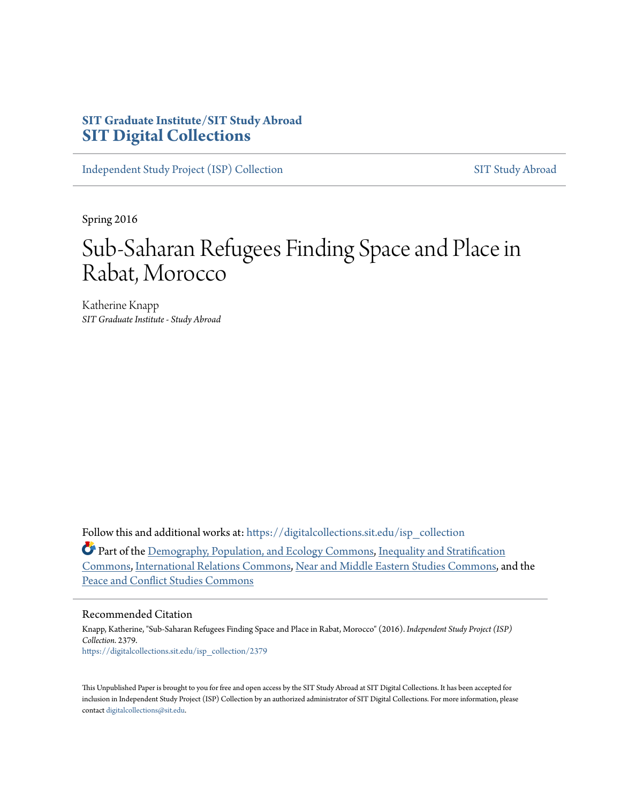## **SIT Graduate Institute/SIT Study Abroad [SIT Digital Collections](https://digitalcollections.sit.edu?utm_source=digitalcollections.sit.edu%2Fisp_collection%2F2379&utm_medium=PDF&utm_campaign=PDFCoverPages)**

[Independent Study Project \(ISP\) Collection](https://digitalcollections.sit.edu/isp_collection?utm_source=digitalcollections.sit.edu%2Fisp_collection%2F2379&utm_medium=PDF&utm_campaign=PDFCoverPages) [SIT Study Abroad](https://digitalcollections.sit.edu/study_abroad?utm_source=digitalcollections.sit.edu%2Fisp_collection%2F2379&utm_medium=PDF&utm_campaign=PDFCoverPages)

Spring 2016

# Sub-Saharan Refugees Finding Space and Place in Rabat, Morocco

Katherine Knapp *SIT Graduate Institute - Study Abroad*

Follow this and additional works at: [https://digitalcollections.sit.edu/isp\\_collection](https://digitalcollections.sit.edu/isp_collection?utm_source=digitalcollections.sit.edu%2Fisp_collection%2F2379&utm_medium=PDF&utm_campaign=PDFCoverPages)

Part of the [Demography, Population, and Ecology Commons,](http://network.bepress.com/hgg/discipline/418?utm_source=digitalcollections.sit.edu%2Fisp_collection%2F2379&utm_medium=PDF&utm_campaign=PDFCoverPages) [Inequality and Stratification](http://network.bepress.com/hgg/discipline/421?utm_source=digitalcollections.sit.edu%2Fisp_collection%2F2379&utm_medium=PDF&utm_campaign=PDFCoverPages) [Commons,](http://network.bepress.com/hgg/discipline/421?utm_source=digitalcollections.sit.edu%2Fisp_collection%2F2379&utm_medium=PDF&utm_campaign=PDFCoverPages) [International Relations Commons,](http://network.bepress.com/hgg/discipline/389?utm_source=digitalcollections.sit.edu%2Fisp_collection%2F2379&utm_medium=PDF&utm_campaign=PDFCoverPages) [Near and Middle Eastern Studies Commons](http://network.bepress.com/hgg/discipline/1308?utm_source=digitalcollections.sit.edu%2Fisp_collection%2F2379&utm_medium=PDF&utm_campaign=PDFCoverPages), and the [Peace and Conflict Studies Commons](http://network.bepress.com/hgg/discipline/397?utm_source=digitalcollections.sit.edu%2Fisp_collection%2F2379&utm_medium=PDF&utm_campaign=PDFCoverPages)

#### Recommended Citation

Knapp, Katherine, "Sub-Saharan Refugees Finding Space and Place in Rabat, Morocco" (2016). *Independent Study Project (ISP) Collection*. 2379. [https://digitalcollections.sit.edu/isp\\_collection/2379](https://digitalcollections.sit.edu/isp_collection/2379?utm_source=digitalcollections.sit.edu%2Fisp_collection%2F2379&utm_medium=PDF&utm_campaign=PDFCoverPages)

This Unpublished Paper is brought to you for free and open access by the SIT Study Abroad at SIT Digital Collections. It has been accepted for inclusion in Independent Study Project (ISP) Collection by an authorized administrator of SIT Digital Collections. For more information, please contact [digitalcollections@sit.edu](mailto:digitalcollections@sit.edu).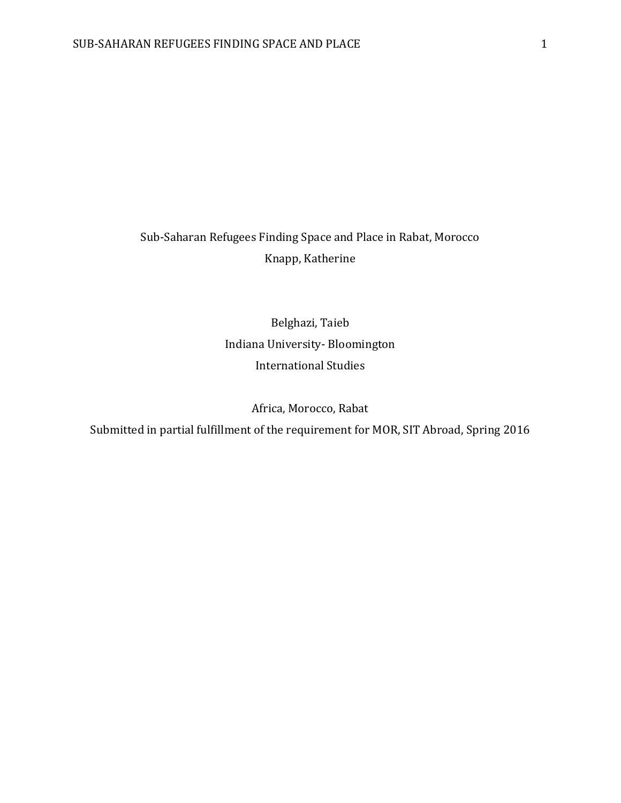## Sub-Saharan Refugees Finding Space and Place in Rabat, Morocco Knapp, Katherine

Belghazi, Taieb Indiana University- Bloomington International Studies

Africa, Morocco, Rabat

Submitted in partial fulfillment of the requirement for MOR, SIT Abroad, Spring 2016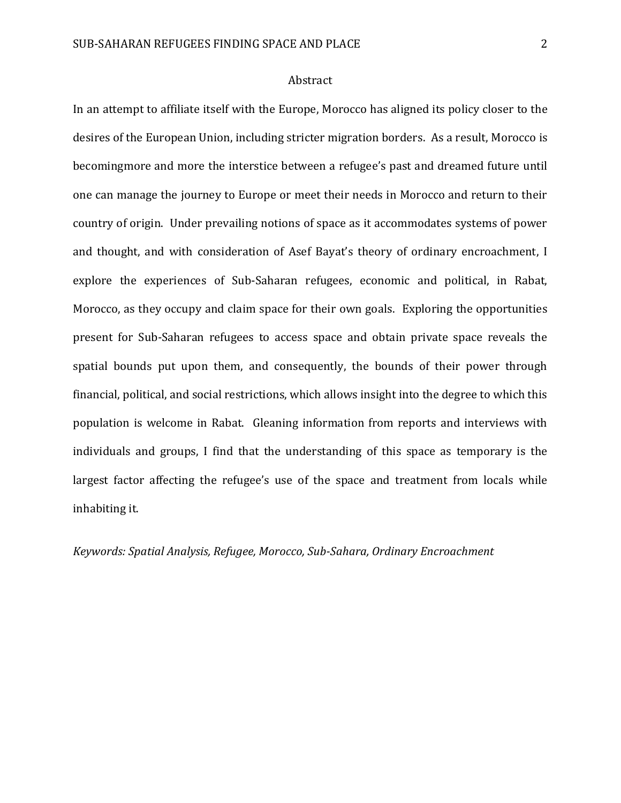#### Abstract

In an attempt to affiliate itself with the Europe, Morocco has aligned its policy closer to the desires of the European Union, including stricter migration borders. As a result, Morocco is becomingmore and more the interstice between a refugee's past and dreamed future until one can manage the journey to Europe or meet their needs in Morocco and return to their country of origin. Under prevailing notions of space as it accommodates systems of power and thought, and with consideration of Asef Bayat's theory of ordinary encroachment, I explore the experiences of Sub-Saharan refugees, economic and political, in Rabat, Morocco, as they occupy and claim space for their own goals. Exploring the opportunities present for Sub-Saharan refugees to access space and obtain private space reveals the spatial bounds put upon them, and consequently, the bounds of their power through financial, political, and social restrictions, which allows insight into the degree to which this population is welcome in Rabat. Gleaning information from reports and interviews with individuals and groups, I find that the understanding of this space as temporary is the largest factor affecting the refugee's use of the space and treatment from locals while inhabiting it.

*Keywords: Spatial Analysis, Refugee, Morocco, Sub-Sahara, Ordinary Encroachment*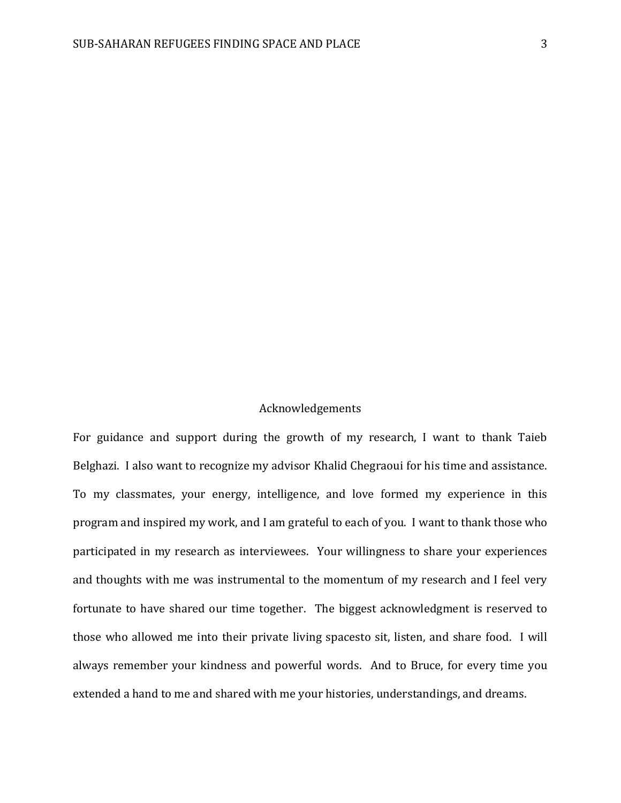## Acknowledgements

For guidance and support during the growth of my research, I want to thank Taieb Belghazi. I also want to recognize my advisor Khalid Chegraoui for his time and assistance. To my classmates, your energy, intelligence, and love formed my experience in this program and inspired my work, and I am grateful to each of you. I want to thank those who participated in my research as interviewees. Your willingness to share your experiences and thoughts with me was instrumental to the momentum of my research and I feel very fortunate to have shared our time together. The biggest acknowledgment is reserved to those who allowed me into their private living spacesto sit, listen, and share food. I will always remember your kindness and powerful words. And to Bruce, for every time you extended a hand to me and shared with me your histories, understandings, and dreams.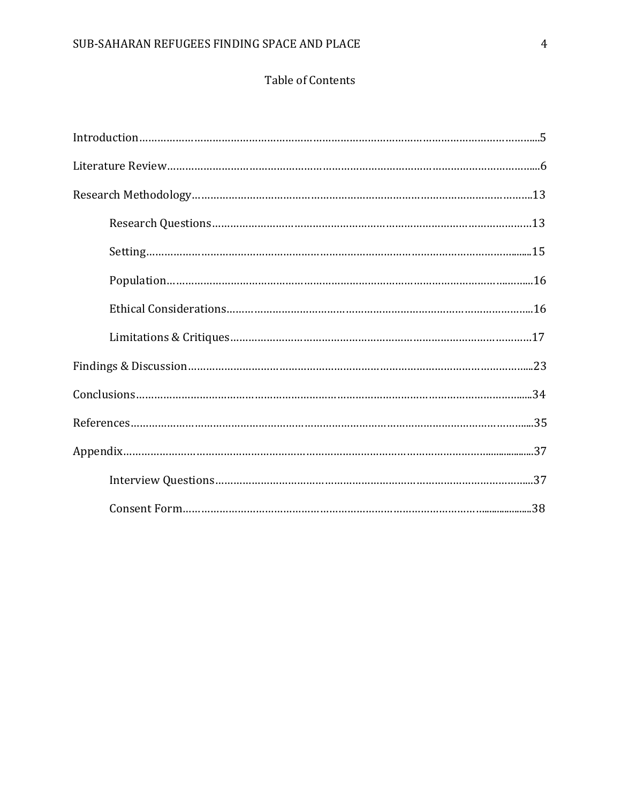## Table of Contents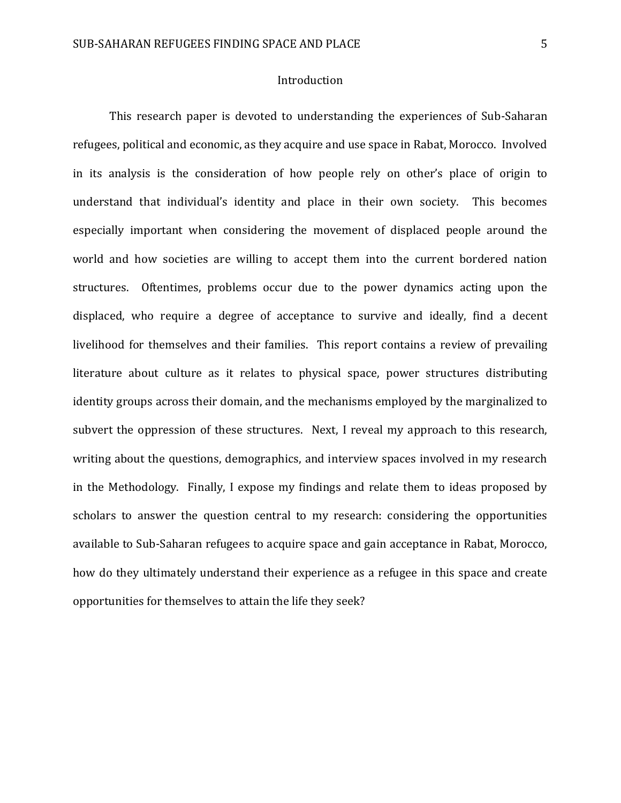## Introduction

This research paper is devoted to understanding the experiences of Sub-Saharan refugees, political and economic, as they acquire and use space in Rabat, Morocco. Involved in its analysis is the consideration of how people rely on other's place of origin to understand that individual's identity and place in their own society. This becomes especially important when considering the movement of displaced people around the world and how societies are willing to accept them into the current bordered nation structures. Oftentimes, problems occur due to the power dynamics acting upon the displaced, who require a degree of acceptance to survive and ideally, find a decent livelihood for themselves and their families. This report contains a review of prevailing literature about culture as it relates to physical space, power structures distributing identity groups across their domain, and the mechanisms employed by the marginalized to subvert the oppression of these structures. Next, I reveal my approach to this research, writing about the questions, demographics, and interview spaces involved in my research in the Methodology. Finally, I expose my findings and relate them to ideas proposed by scholars to answer the question central to my research: considering the opportunities available to Sub-Saharan refugees to acquire space and gain acceptance in Rabat, Morocco, how do they ultimately understand their experience as a refugee in this space and create opportunities for themselves to attain the life they seek?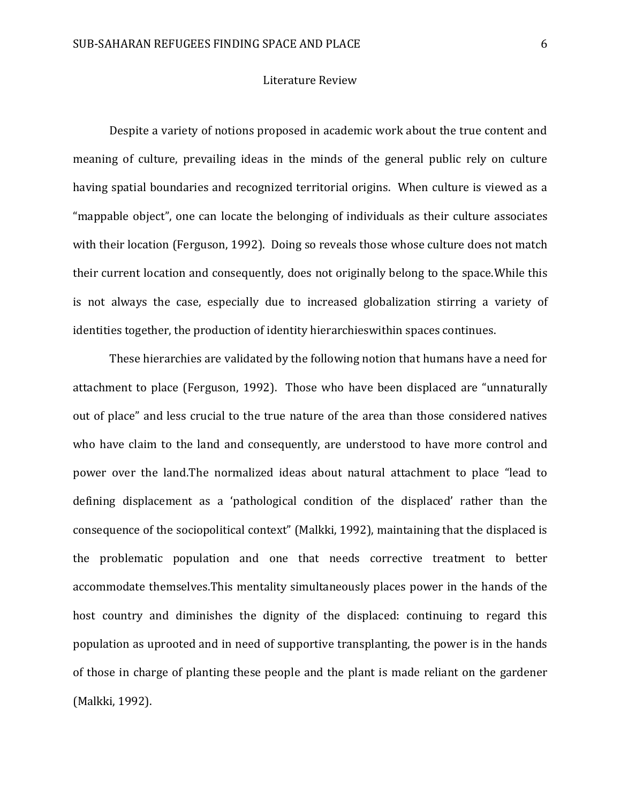#### Literature Review

Despite a variety of notions proposed in academic work about the true content and meaning of culture, prevailing ideas in the minds of the general public rely on culture having spatial boundaries and recognized territorial origins. When culture is viewed as a "mappable object", one can locate the belonging of individuals as their culture associates with their location (Ferguson, 1992). Doing so reveals those whose culture does not match their current location and consequently, does not originally belong to the space.While this is not always the case, especially due to increased globalization stirring a variety of identities together, the production of identity hierarchieswithin spaces continues.

These hierarchies are validated by the following notion that humans have a need for attachment to place (Ferguson, 1992). Those who have been displaced are "unnaturally out of place" and less crucial to the true nature of the area than those considered natives who have claim to the land and consequently, are understood to have more control and power over the land.The normalized ideas about natural attachment to place "lead to defining displacement as a 'pathological condition of the displaced' rather than the consequence of the sociopolitical context" (Malkki, 1992), maintaining that the displaced is the problematic population and one that needs corrective treatment to better accommodate themselves.This mentality simultaneously places power in the hands of the host country and diminishes the dignity of the displaced: continuing to regard this population as uprooted and in need of supportive transplanting, the power is in the hands of those in charge of planting these people and the plant is made reliant on the gardener (Malkki, 1992).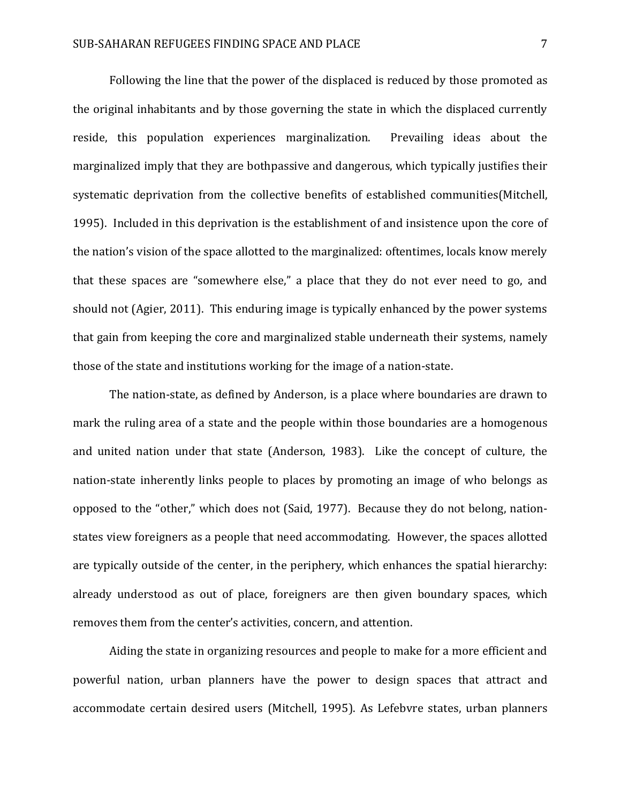Following the line that the power of the displaced is reduced by those promoted as the original inhabitants and by those governing the state in which the displaced currently reside, this population experiences marginalization. Prevailing ideas about the marginalized imply that they are bothpassive and dangerous, which typically justifies their systematic deprivation from the collective benefits of established communities(Mitchell, 1995). Included in this deprivation is the establishment of and insistence upon the core of the nation's vision of the space allotted to the marginalized: oftentimes, locals know merely that these spaces are "somewhere else," a place that they do not ever need to go, and should not (Agier, 2011). This enduring image is typically enhanced by the power systems that gain from keeping the core and marginalized stable underneath their systems, namely those of the state and institutions working for the image of a nation-state.

The nation-state, as defined by Anderson, is a place where boundaries are drawn to mark the ruling area of a state and the people within those boundaries are a homogenous and united nation under that state (Anderson, 1983). Like the concept of culture, the nation-state inherently links people to places by promoting an image of who belongs as opposed to the "other," which does not (Said, 1977). Because they do not belong, nationstates view foreigners as a people that need accommodating. However, the spaces allotted are typically outside of the center, in the periphery, which enhances the spatial hierarchy: already understood as out of place, foreigners are then given boundary spaces, which removes them from the center's activities, concern, and attention.

Aiding the state in organizing resources and people to make for a more efficient and powerful nation, urban planners have the power to design spaces that attract and accommodate certain desired users (Mitchell, 1995). As Lefebvre states, urban planners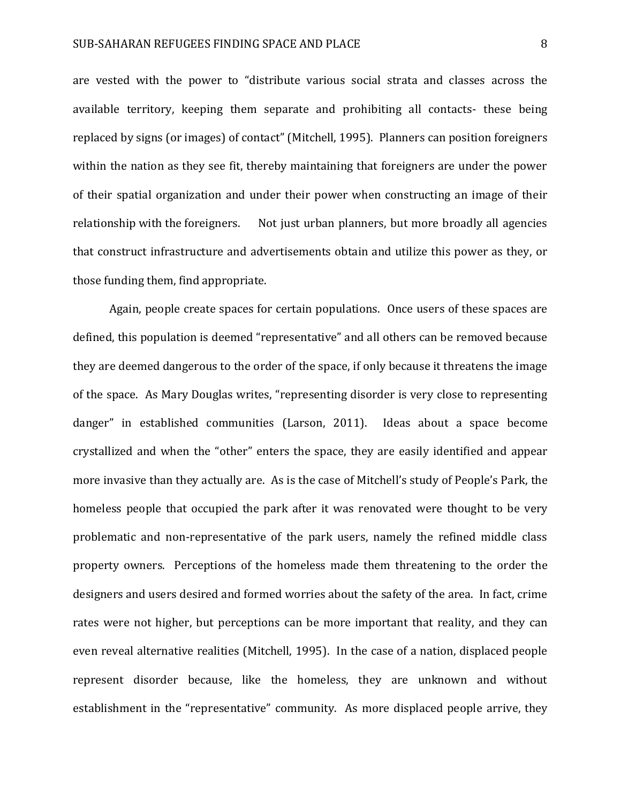are vested with the power to "distribute various social strata and classes across the available territory, keeping them separate and prohibiting all contacts- these being replaced by signs (or images) of contact" (Mitchell, 1995). Planners can position foreigners within the nation as they see fit, thereby maintaining that foreigners are under the power of their spatial organization and under their power when constructing an image of their relationship with the foreigners. Not just urban planners, but more broadly all agencies that construct infrastructure and advertisements obtain and utilize this power as they, or those funding them, find appropriate.

Again, people create spaces for certain populations. Once users of these spaces are defined, this population is deemed "representative" and all others can be removed because they are deemed dangerous to the order of the space, if only because it threatens the image of the space. As Mary Douglas writes, "representing disorder is very close to representing danger" in established communities (Larson, 2011). Ideas about a space become crystallized and when the "other" enters the space, they are easily identified and appear more invasive than they actually are. As is the case of Mitchell's study of People's Park, the homeless people that occupied the park after it was renovated were thought to be very problematic and non-representative of the park users, namely the refined middle class property owners. Perceptions of the homeless made them threatening to the order the designers and users desired and formed worries about the safety of the area. In fact, crime rates were not higher, but perceptions can be more important that reality, and they can even reveal alternative realities (Mitchell, 1995). In the case of a nation, displaced people represent disorder because, like the homeless, they are unknown and without establishment in the "representative" community. As more displaced people arrive, they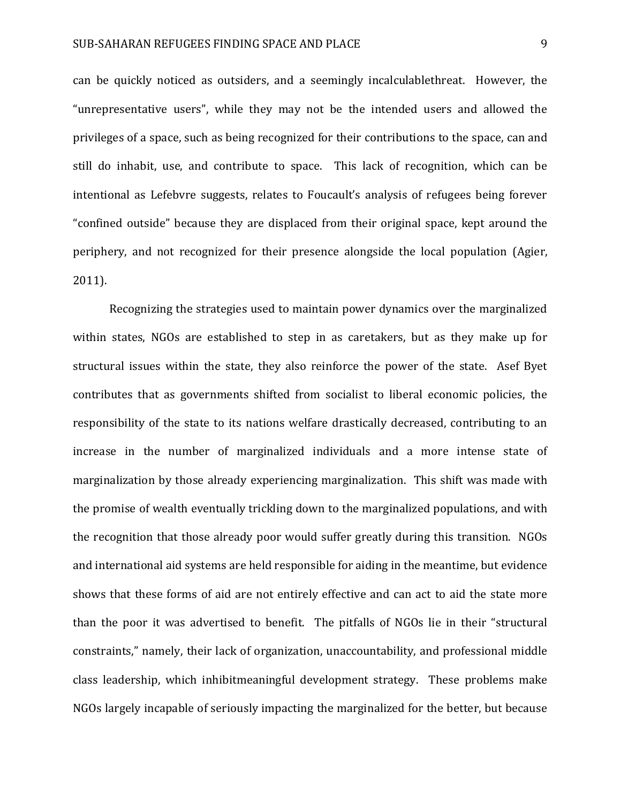can be quickly noticed as outsiders, and a seemingly incalculablethreat. However, the "unrepresentative users", while they may not be the intended users and allowed the privileges of a space, such as being recognized for their contributions to the space, can and still do inhabit, use, and contribute to space. This lack of recognition, which can be intentional as Lefebvre suggests, relates to Foucault's analysis of refugees being forever "confined outside" because they are displaced from their original space, kept around the periphery, and not recognized for their presence alongside the local population (Agier, 2011).

Recognizing the strategies used to maintain power dynamics over the marginalized within states, NGOs are established to step in as caretakers, but as they make up for structural issues within the state, they also reinforce the power of the state. Asef Byet contributes that as governments shifted from socialist to liberal economic policies, the responsibility of the state to its nations welfare drastically decreased, contributing to an increase in the number of marginalized individuals and a more intense state of marginalization by those already experiencing marginalization. This shift was made with the promise of wealth eventually trickling down to the marginalized populations, and with the recognition that those already poor would suffer greatly during this transition. NGOs and international aid systems are held responsible for aiding in the meantime, but evidence shows that these forms of aid are not entirely effective and can act to aid the state more than the poor it was advertised to benefit. The pitfalls of NGOs lie in their "structural constraints," namely, their lack of organization, unaccountability, and professional middle class leadership, which inhibitmeaningful development strategy. These problems make NGOs largely incapable of seriously impacting the marginalized for the better, but because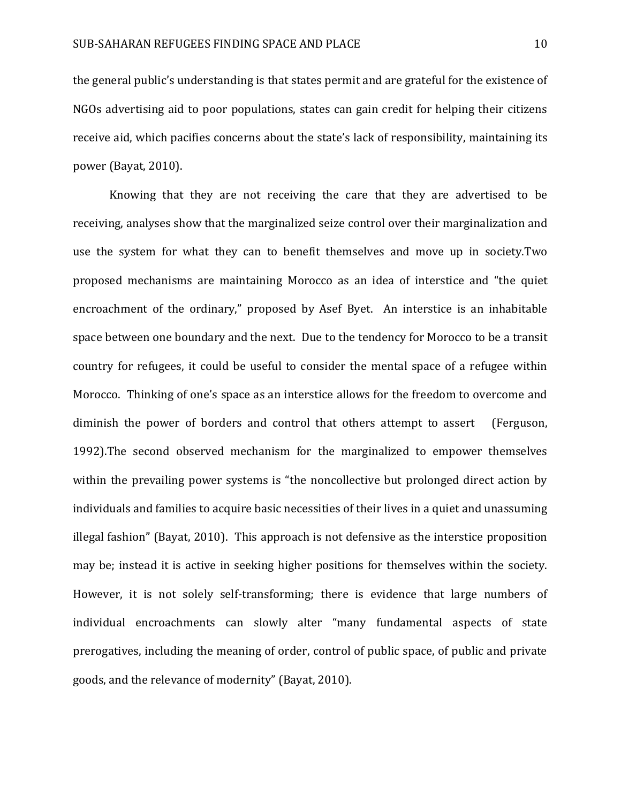the general public's understanding is that states permit and are grateful for the existence of NGOs advertising aid to poor populations, states can gain credit for helping their citizens receive aid, which pacifies concerns about the state's lack of responsibility, maintaining its power (Bayat, 2010).

Knowing that they are not receiving the care that they are advertised to be receiving, analyses show that the marginalized seize control over their marginalization and use the system for what they can to benefit themselves and move up in society.Two proposed mechanisms are maintaining Morocco as an idea of interstice and "the quiet encroachment of the ordinary," proposed by Asef Byet. An interstice is an inhabitable space between one boundary and the next. Due to the tendency for Morocco to be a transit country for refugees, it could be useful to consider the mental space of a refugee within Morocco. Thinking of one's space as an interstice allows for the freedom to overcome and diminish the power of borders and control that others attempt to assert (Ferguson, 1992).The second observed mechanism for the marginalized to empower themselves within the prevailing power systems is "the noncollective but prolonged direct action by individuals and families to acquire basic necessities of their lives in a quiet and unassuming illegal fashion" (Bayat, 2010). This approach is not defensive as the interstice proposition may be; instead it is active in seeking higher positions for themselves within the society. However, it is not solely self-transforming; there is evidence that large numbers of individual encroachments can slowly alter "many fundamental aspects of state prerogatives, including the meaning of order, control of public space, of public and private goods, and the relevance of modernity" (Bayat, 2010).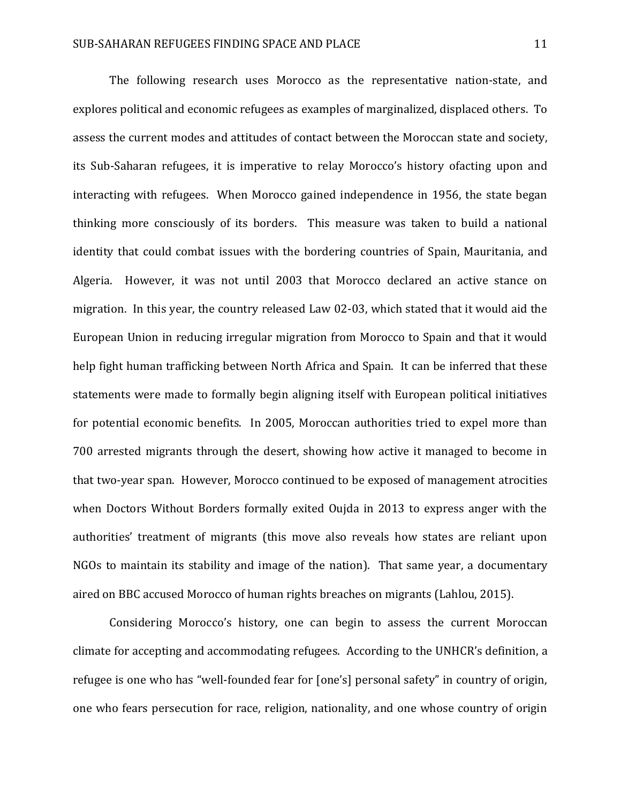The following research uses Morocco as the representative nation-state, and explores political and economic refugees as examples of marginalized, displaced others. To assess the current modes and attitudes of contact between the Moroccan state and society, its Sub-Saharan refugees, it is imperative to relay Morocco's history ofacting upon and interacting with refugees. When Morocco gained independence in 1956, the state began thinking more consciously of its borders. This measure was taken to build a national identity that could combat issues with the bordering countries of Spain, Mauritania, and Algeria. However, it was not until 2003 that Morocco declared an active stance on migration. In this year, the country released Law 02-03, which stated that it would aid the European Union in reducing irregular migration from Morocco to Spain and that it would help fight human trafficking between North Africa and Spain. It can be inferred that these statements were made to formally begin aligning itself with European political initiatives for potential economic benefits. In 2005, Moroccan authorities tried to expel more than 700 arrested migrants through the desert, showing how active it managed to become in that two-year span. However, Morocco continued to be exposed of management atrocities when Doctors Without Borders formally exited Oujda in 2013 to express anger with the authorities' treatment of migrants (this move also reveals how states are reliant upon NGOs to maintain its stability and image of the nation). That same year, a documentary aired on BBC accused Morocco of human rights breaches on migrants (Lahlou, 2015).

Considering Morocco's history, one can begin to assess the current Moroccan climate for accepting and accommodating refugees. According to the UNHCR's definition, a refugee is one who has "well-founded fear for [one's] personal safety" in country of origin, one who fears persecution for race, religion, nationality, and one whose country of origin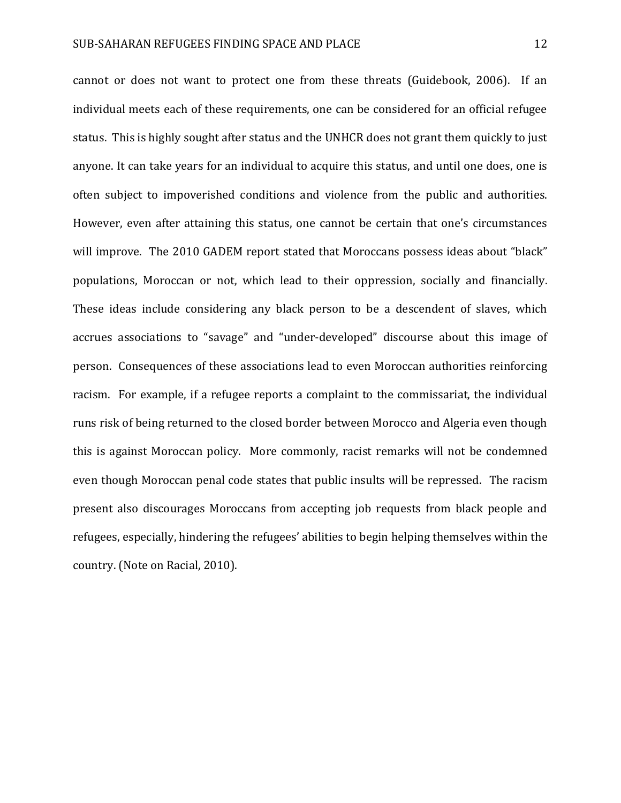cannot or does not want to protect one from these threats (Guidebook, 2006). If an individual meets each of these requirements, one can be considered for an official refugee status. This is highly sought after status and the UNHCR does not grant them quickly to just anyone. It can take years for an individual to acquire this status, and until one does, one is often subject to impoverished conditions and violence from the public and authorities. However, even after attaining this status, one cannot be certain that one's circumstances will improve. The 2010 GADEM report stated that Moroccans possess ideas about "black" populations, Moroccan or not, which lead to their oppression, socially and financially. These ideas include considering any black person to be a descendent of slaves, which accrues associations to "savage" and "under-developed" discourse about this image of person. Consequences of these associations lead to even Moroccan authorities reinforcing racism. For example, if a refugee reports a complaint to the commissariat, the individual runs risk of being returned to the closed border between Morocco and Algeria even though this is against Moroccan policy. More commonly, racist remarks will not be condemned even though Moroccan penal code states that public insults will be repressed. The racism present also discourages Moroccans from accepting job requests from black people and refugees, especially, hindering the refugees' abilities to begin helping themselves within the country. (Note on Racial, 2010).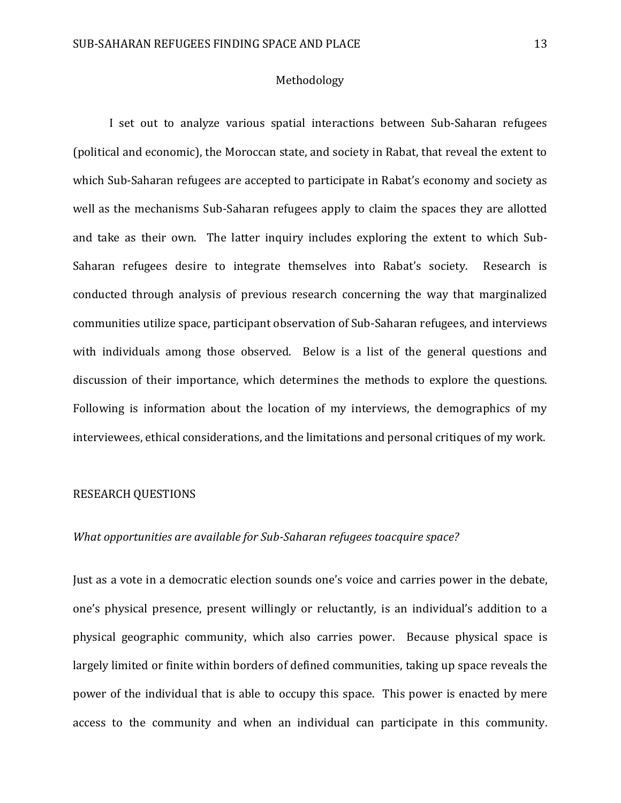## Methodology

I set out to analyze various spatial interactions between Sub-Saharan refugees (political and economic), the Moroccan state, and society in Rabat, that reveal the extent to which Sub-Saharan refugees are accepted to participate in Rabat's economy and society as well as the mechanisms Sub-Saharan refugees apply to claim the spaces they are allotted and take as their own. The latter inquiry includes exploring the extent to which Sub-Saharan refugees desire to integrate themselves into Rabat's society. Research is conducted through analysis of previous research concerning the way that marginalized communities utilize space, participant observation of Sub-Saharan refugees, and interviews with individuals among those observed. Below is a list of the general questions and discussion of their importance, which determines the methods to explore the questions. Following is information about the location of my interviews, the demographics of my interviewees, ethical considerations, and the limitations and personal critiques of my work.

#### RESEARCH QUESTIONS

## *What opportunities are available for Sub-Saharan refugees toacquire space?*

Just as a vote in a democratic election sounds one's voice and carries power in the debate, one's physical presence, present willingly or reluctantly, is an individual's addition to a physical geographic community, which also carries power. Because physical space is largely limited or finite within borders of defined communities, taking up space reveals the power of the individual that is able to occupy this space. This power is enacted by mere access to the community and when an individual can participate in this community.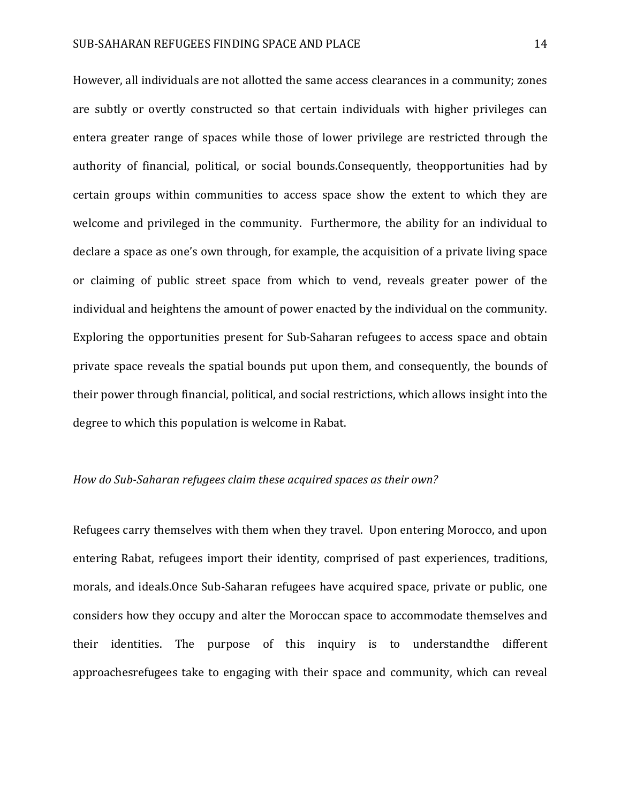However, all individuals are not allotted the same access clearances in a community; zones are subtly or overtly constructed so that certain individuals with higher privileges can entera greater range of spaces while those of lower privilege are restricted through the authority of financial, political, or social bounds.Consequently, theopportunities had by certain groups within communities to access space show the extent to which they are welcome and privileged in the community. Furthermore, the ability for an individual to declare a space as one's own through, for example, the acquisition of a private living space or claiming of public street space from which to vend, reveals greater power of the individual and heightens the amount of power enacted by the individual on the community. Exploring the opportunities present for Sub-Saharan refugees to access space and obtain private space reveals the spatial bounds put upon them, and consequently, the bounds of their power through financial, political, and social restrictions, which allows insight into the degree to which this population is welcome in Rabat.

## *How do Sub-Saharan refugees claim these acquired spaces as their own?*

Refugees carry themselves with them when they travel. Upon entering Morocco, and upon entering Rabat, refugees import their identity, comprised of past experiences, traditions, morals, and ideals.Once Sub-Saharan refugees have acquired space, private or public, one considers how they occupy and alter the Moroccan space to accommodate themselves and their identities. The purpose of this inquiry is to understandthe different approachesrefugees take to engaging with their space and community, which can reveal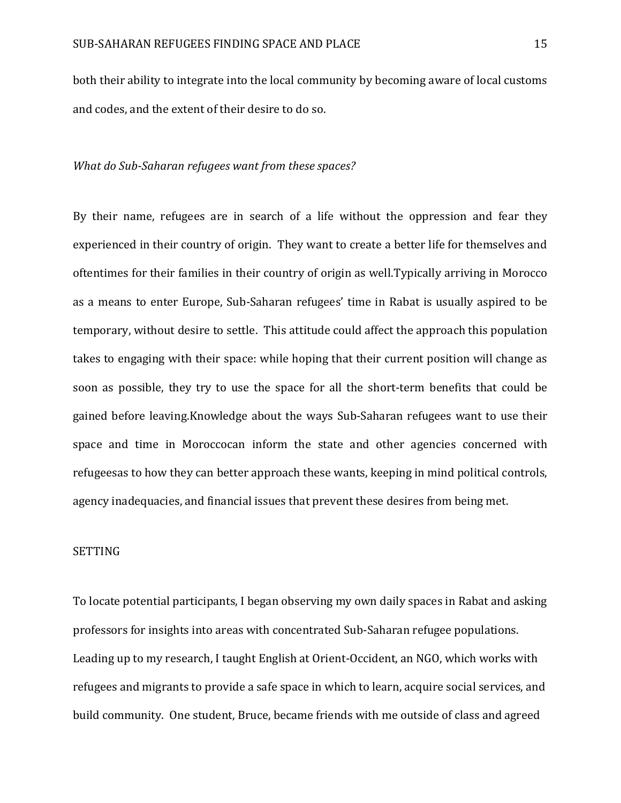both their ability to integrate into the local community by becoming aware of local customs and codes, and the extent of their desire to do so.

#### *What do Sub-Saharan refugees want from these spaces?*

By their name, refugees are in search of a life without the oppression and fear they experienced in their country of origin. They want to create a better life for themselves and oftentimes for their families in their country of origin as well.Typically arriving in Morocco as a means to enter Europe, Sub-Saharan refugees' time in Rabat is usually aspired to be temporary, without desire to settle. This attitude could affect the approach this population takes to engaging with their space: while hoping that their current position will change as soon as possible, they try to use the space for all the short-term benefits that could be gained before leaving.Knowledge about the ways Sub-Saharan refugees want to use their space and time in Moroccocan inform the state and other agencies concerned with refugeesas to how they can better approach these wants, keeping in mind political controls, agency inadequacies, and financial issues that prevent these desires from being met.

#### SETTING

To locate potential participants, I began observing my own daily spaces in Rabat and asking professors for insights into areas with concentrated Sub-Saharan refugee populations. Leading up to my research, I taught English at Orient-Occident, an NGO, which works with refugees and migrants to provide a safe space in which to learn, acquire social services, and build community. One student, Bruce, became friends with me outside of class and agreed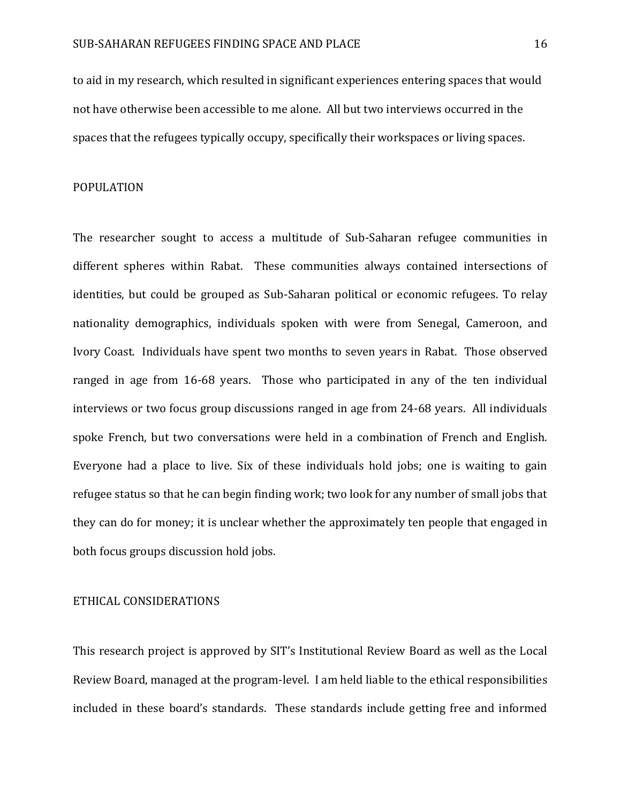to aid in my research, which resulted in significant experiences entering spaces that would not have otherwise been accessible to me alone. All but two interviews occurred in the spaces that the refugees typically occupy, specifically their workspaces or living spaces.

## POPULATION

The researcher sought to access a multitude of Sub-Saharan refugee communities in different spheres within Rabat. These communities always contained intersections of identities, but could be grouped as Sub-Saharan political or economic refugees. To relay nationality demographics, individuals spoken with were from Senegal, Cameroon, and Ivory Coast. Individuals have spent two months to seven years in Rabat. Those observed ranged in age from 16-68 years. Those who participated in any of the ten individual interviews or two focus group discussions ranged in age from 24-68 years. All individuals spoke French, but two conversations were held in a combination of French and English. Everyone had a place to live. Six of these individuals hold jobs; one is waiting to gain refugee status so that he can begin finding work; two look for any number of small jobs that they can do for money; it is unclear whether the approximately ten people that engaged in both focus groups discussion hold jobs.

#### ETHICAL CONSIDERATIONS

This research project is approved by SIT's Institutional Review Board as well as the Local Review Board, managed at the program-level. I am held liable to the ethical responsibilities included in these board's standards. These standards include getting free and informed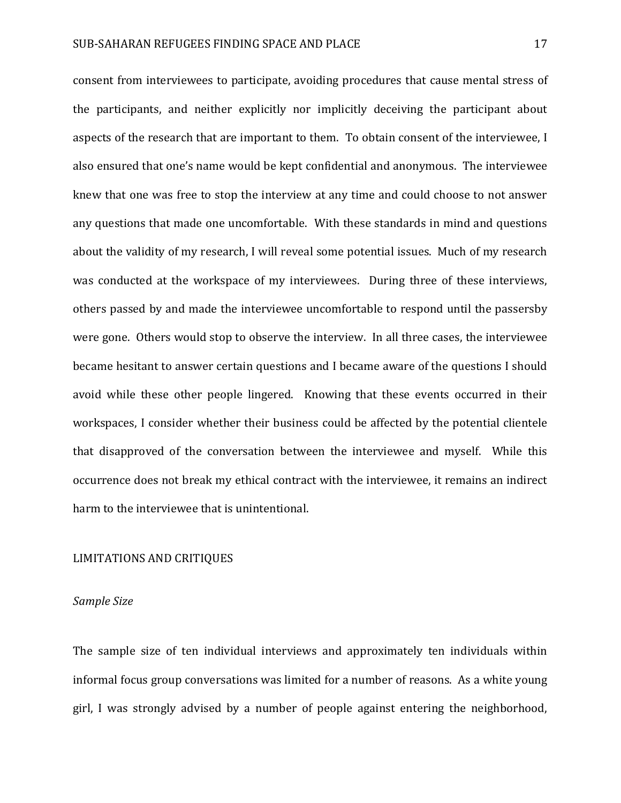consent from interviewees to participate, avoiding procedures that cause mental stress of the participants, and neither explicitly nor implicitly deceiving the participant about aspects of the research that are important to them. To obtain consent of the interviewee, I also ensured that one's name would be kept confidential and anonymous. The interviewee knew that one was free to stop the interview at any time and could choose to not answer any questions that made one uncomfortable. With these standards in mind and questions about the validity of my research, I will reveal some potential issues. Much of my research was conducted at the workspace of my interviewees. During three of these interviews, others passed by and made the interviewee uncomfortable to respond until the passersby were gone. Others would stop to observe the interview. In all three cases, the interviewee became hesitant to answer certain questions and I became aware of the questions I should avoid while these other people lingered. Knowing that these events occurred in their workspaces, I consider whether their business could be affected by the potential clientele that disapproved of the conversation between the interviewee and myself. While this occurrence does not break my ethical contract with the interviewee, it remains an indirect harm to the interviewee that is unintentional.

## LIMITATIONS AND CRITIQUES

#### *Sample Size*

The sample size of ten individual interviews and approximately ten individuals within informal focus group conversations was limited for a number of reasons. As a white young girl, I was strongly advised by a number of people against entering the neighborhood,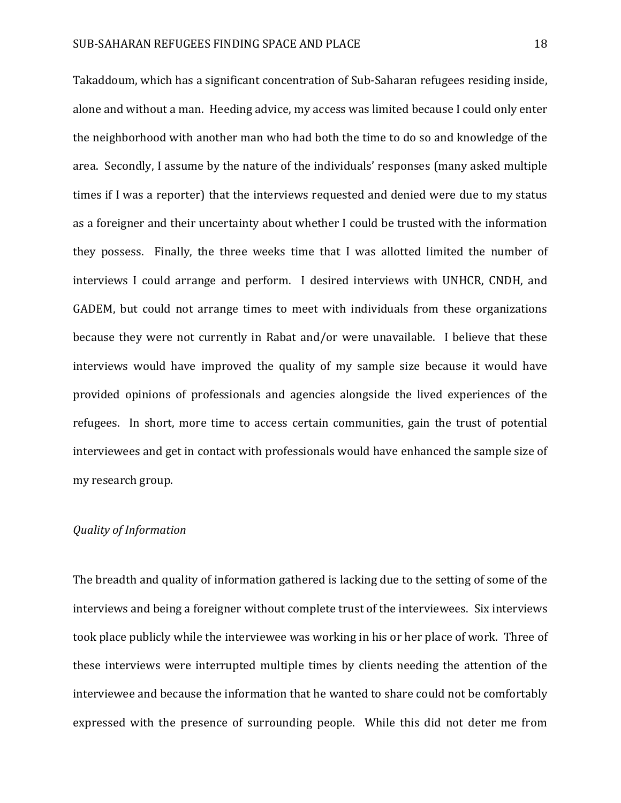Takaddoum, which has a significant concentration of Sub-Saharan refugees residing inside, alone and without a man. Heeding advice, my access was limited because I could only enter the neighborhood with another man who had both the time to do so and knowledge of the area. Secondly, I assume by the nature of the individuals' responses (many asked multiple times if I was a reporter) that the interviews requested and denied were due to my status as a foreigner and their uncertainty about whether I could be trusted with the information they possess. Finally, the three weeks time that I was allotted limited the number of interviews I could arrange and perform. I desired interviews with UNHCR, CNDH, and GADEM, but could not arrange times to meet with individuals from these organizations because they were not currently in Rabat and/or were unavailable. I believe that these interviews would have improved the quality of my sample size because it would have provided opinions of professionals and agencies alongside the lived experiences of the refugees. In short, more time to access certain communities, gain the trust of potential interviewees and get in contact with professionals would have enhanced the sample size of my research group.

## *Quality of Information*

The breadth and quality of information gathered is lacking due to the setting of some of the interviews and being a foreigner without complete trust of the interviewees. Six interviews took place publicly while the interviewee was working in his or her place of work. Three of these interviews were interrupted multiple times by clients needing the attention of the interviewee and because the information that he wanted to share could not be comfortably expressed with the presence of surrounding people. While this did not deter me from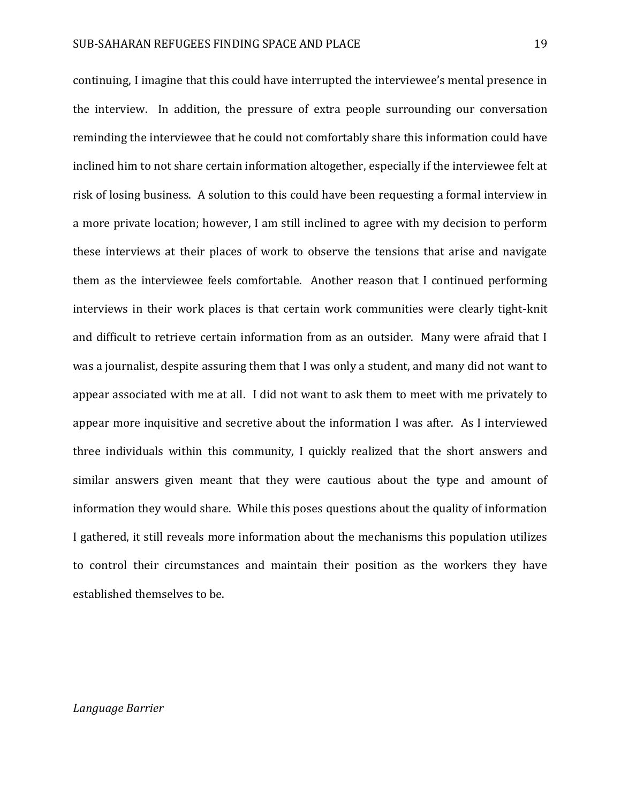continuing, I imagine that this could have interrupted the interviewee's mental presence in the interview. In addition, the pressure of extra people surrounding our conversation reminding the interviewee that he could not comfortably share this information could have inclined him to not share certain information altogether, especially if the interviewee felt at risk of losing business. A solution to this could have been requesting a formal interview in a more private location; however, I am still inclined to agree with my decision to perform these interviews at their places of work to observe the tensions that arise and navigate them as the interviewee feels comfortable. Another reason that I continued performing interviews in their work places is that certain work communities were clearly tight-knit and difficult to retrieve certain information from as an outsider. Many were afraid that I was a journalist, despite assuring them that I was only a student, and many did not want to appear associated with me at all. I did not want to ask them to meet with me privately to appear more inquisitive and secretive about the information I was after. As I interviewed three individuals within this community, I quickly realized that the short answers and similar answers given meant that they were cautious about the type and amount of information they would share. While this poses questions about the quality of information I gathered, it still reveals more information about the mechanisms this population utilizes to control their circumstances and maintain their position as the workers they have established themselves to be.

#### *Language Barrier*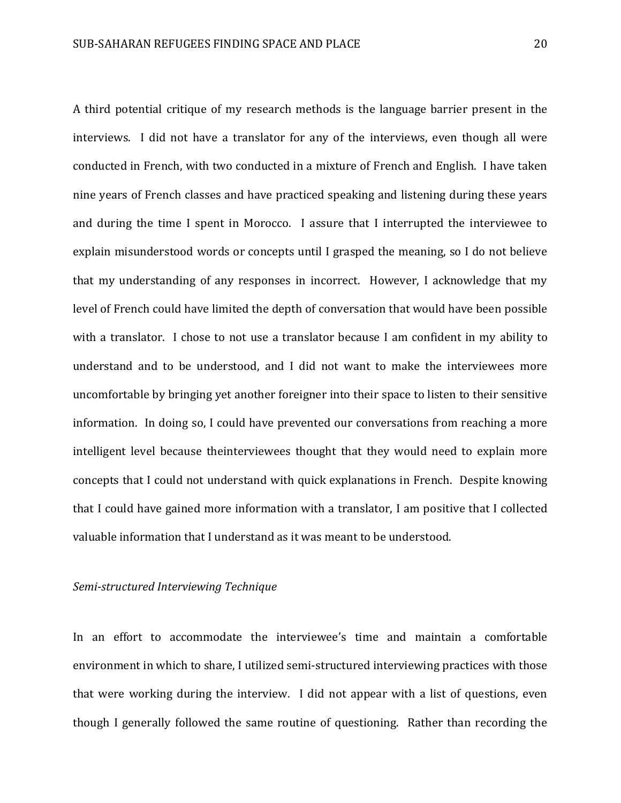A third potential critique of my research methods is the language barrier present in the interviews. I did not have a translator for any of the interviews, even though all were conducted in French, with two conducted in a mixture of French and English. I have taken nine years of French classes and have practiced speaking and listening during these years and during the time I spent in Morocco. I assure that I interrupted the interviewee to explain misunderstood words or concepts until I grasped the meaning, so I do not believe that my understanding of any responses in incorrect. However, I acknowledge that my level of French could have limited the depth of conversation that would have been possible with a translator. I chose to not use a translator because I am confident in my ability to understand and to be understood, and I did not want to make the interviewees more uncomfortable by bringing yet another foreigner into their space to listen to their sensitive information. In doing so, I could have prevented our conversations from reaching a more intelligent level because theinterviewees thought that they would need to explain more concepts that I could not understand with quick explanations in French. Despite knowing that I could have gained more information with a translator, I am positive that I collected valuable information that I understand as it was meant to be understood.

#### *Semi-structured Interviewing Technique*

In an effort to accommodate the interviewee's time and maintain a comfortable environment in which to share, I utilized semi-structured interviewing practices with those that were working during the interview. I did not appear with a list of questions, even though I generally followed the same routine of questioning. Rather than recording the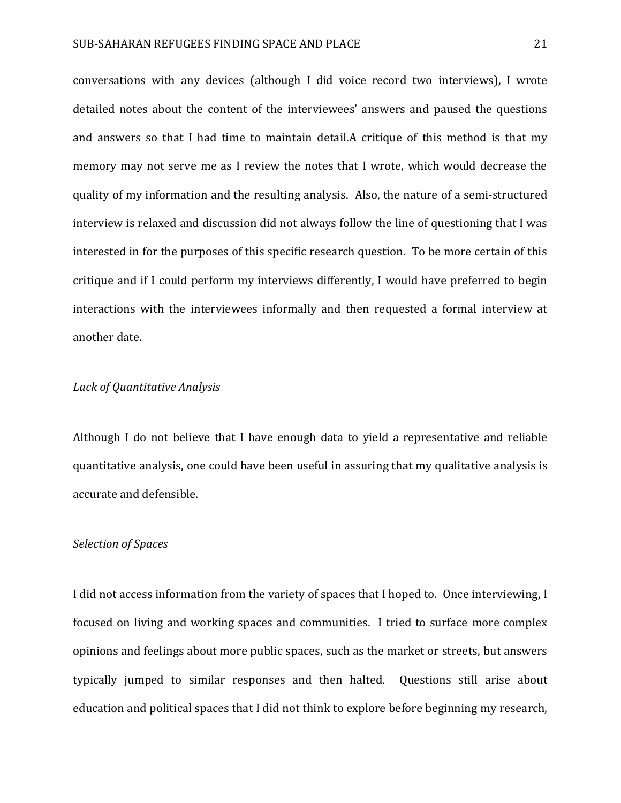conversations with any devices (although I did voice record two interviews), I wrote detailed notes about the content of the interviewees' answers and paused the questions and answers so that I had time to maintain detail.A critique of this method is that my memory may not serve me as I review the notes that I wrote, which would decrease the quality of my information and the resulting analysis. Also, the nature of a semi-structured interview is relaxed and discussion did not always follow the line of questioning that I was interested in for the purposes of this specific research question. To be more certain of this critique and if I could perform my interviews differently, I would have preferred to begin interactions with the interviewees informally and then requested a formal interview at another date.

## *Lack of Quantitative Analysis*

Although I do not believe that I have enough data to yield a representative and reliable quantitative analysis, one could have been useful in assuring that my qualitative analysis is accurate and defensible.

#### *Selection of Spaces*

I did not access information from the variety of spaces that I hoped to. Once interviewing, I focused on living and working spaces and communities. I tried to surface more complex opinions and feelings about more public spaces, such as the market or streets, but answers typically jumped to similar responses and then halted. Questions still arise about education and political spaces that I did not think to explore before beginning my research,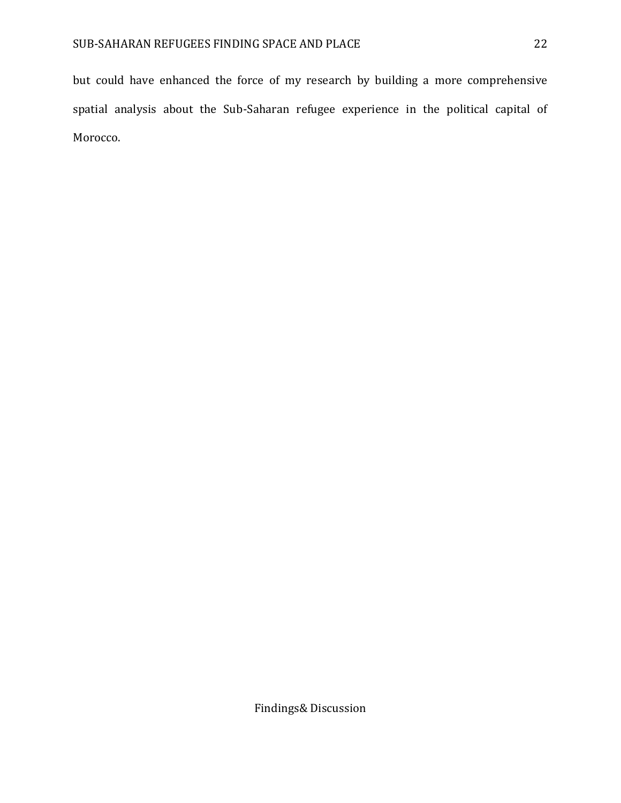but could have enhanced the force of my research by building a more comprehensive spatial analysis about the Sub-Saharan refugee experience in the political capital of Morocco.

Findings& Discussion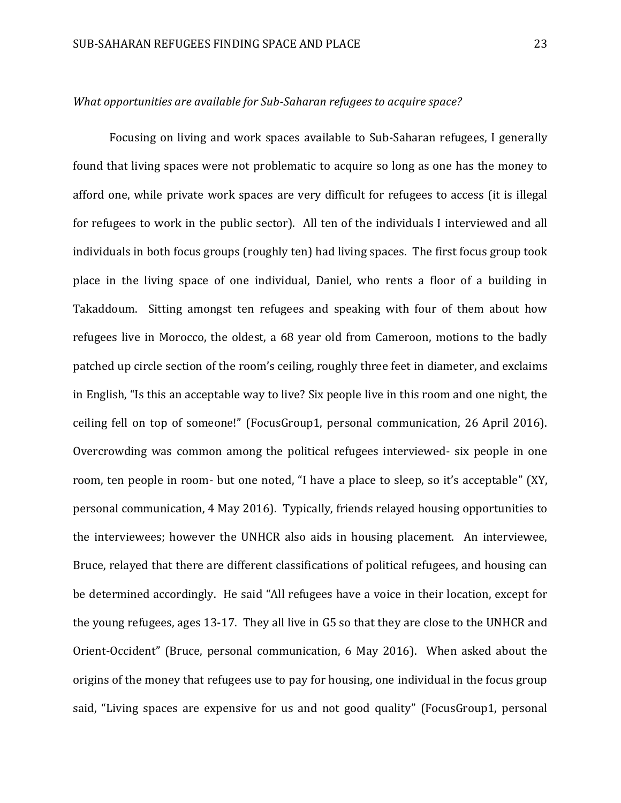## *What opportunities are available for Sub-Saharan refugees to acquire space?*

Focusing on living and work spaces available to Sub-Saharan refugees, I generally found that living spaces were not problematic to acquire so long as one has the money to afford one, while private work spaces are very difficult for refugees to access (it is illegal for refugees to work in the public sector). All ten of the individuals I interviewed and all individuals in both focus groups (roughly ten) had living spaces. The first focus group took place in the living space of one individual, Daniel, who rents a floor of a building in Takaddoum. Sitting amongst ten refugees and speaking with four of them about how refugees live in Morocco, the oldest, a 68 year old from Cameroon, motions to the badly patched up circle section of the room's ceiling, roughly three feet in diameter, and exclaims in English, "Is this an acceptable way to live? Six people live in this room and one night, the ceiling fell on top of someone!" (FocusGroup1, personal communication, 26 April 2016). Overcrowding was common among the political refugees interviewed- six people in one room, ten people in room- but one noted, "I have a place to sleep, so it's acceptable" (XY, personal communication, 4 May 2016). Typically, friends relayed housing opportunities to the interviewees; however the UNHCR also aids in housing placement. An interviewee, Bruce, relayed that there are different classifications of political refugees, and housing can be determined accordingly. He said "All refugees have a voice in their location, except for the young refugees, ages 13-17. They all live in G5 so that they are close to the UNHCR and Orient-Occident" (Bruce, personal communication, 6 May 2016). When asked about the origins of the money that refugees use to pay for housing, one individual in the focus group said, "Living spaces are expensive for us and not good quality" (FocusGroup1, personal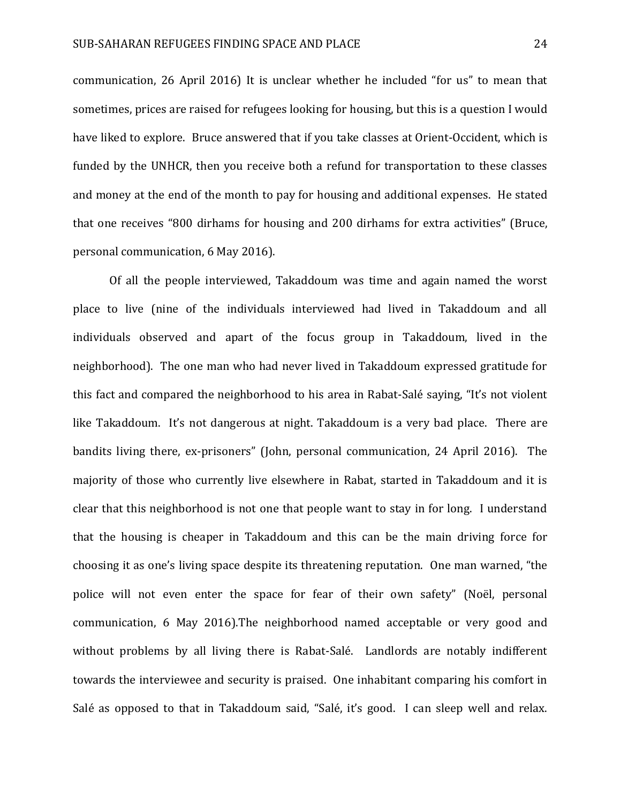communication, 26 April 2016) It is unclear whether he included "for us" to mean that sometimes, prices are raised for refugees looking for housing, but this is a question I would have liked to explore. Bruce answered that if you take classes at Orient-Occident, which is funded by the UNHCR, then you receive both a refund for transportation to these classes and money at the end of the month to pay for housing and additional expenses. He stated that one receives "800 dirhams for housing and 200 dirhams for extra activities" (Bruce, personal communication, 6 May 2016).

Of all the people interviewed, Takaddoum was time and again named the worst place to live (nine of the individuals interviewed had lived in Takaddoum and all individuals observed and apart of the focus group in Takaddoum, lived in the neighborhood). The one man who had never lived in Takaddoum expressed gratitude for this fact and compared the neighborhood to his area in Rabat-Salé saying, "It's not violent like Takaddoum. It's not dangerous at night. Takaddoum is a very bad place. There are bandits living there, ex-prisoners" (John, personal communication, 24 April 2016). The majority of those who currently live elsewhere in Rabat, started in Takaddoum and it is clear that this neighborhood is not one that people want to stay in for long. I understand that the housing is cheaper in Takaddoum and this can be the main driving force for choosing it as one's living space despite its threatening reputation. One man warned, "the police will not even enter the space for fear of their own safety" (Noël, personal communication, 6 May 2016).The neighborhood named acceptable or very good and without problems by all living there is Rabat-Salé. Landlords are notably indifferent towards the interviewee and security is praised. One inhabitant comparing his comfort in Salé as opposed to that in Takaddoum said, "Salé, it's good. I can sleep well and relax.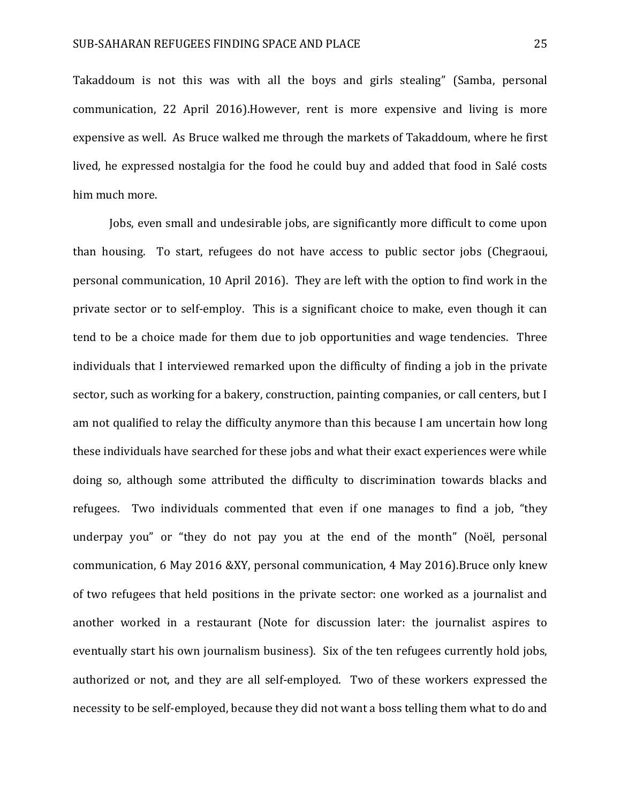Takaddoum is not this was with all the boys and girls stealing" (Samba, personal communication, 22 April 2016).However, rent is more expensive and living is more expensive as well. As Bruce walked me through the markets of Takaddoum, where he first lived, he expressed nostalgia for the food he could buy and added that food in Salé costs him much more.

Jobs, even small and undesirable jobs, are significantly more difficult to come upon than housing. To start, refugees do not have access to public sector jobs (Chegraoui, personal communication, 10 April 2016). They are left with the option to find work in the private sector or to self-employ. This is a significant choice to make, even though it can tend to be a choice made for them due to job opportunities and wage tendencies. Three individuals that I interviewed remarked upon the difficulty of finding a job in the private sector, such as working for a bakery, construction, painting companies, or call centers, but I am not qualified to relay the difficulty anymore than this because I am uncertain how long these individuals have searched for these jobs and what their exact experiences were while doing so, although some attributed the difficulty to discrimination towards blacks and refugees. Two individuals commented that even if one manages to find a job, "they underpay you" or "they do not pay you at the end of the month" (Noël, personal communication, 6 May 2016 &XY, personal communication, 4 May 2016).Bruce only knew of two refugees that held positions in the private sector: one worked as a journalist and another worked in a restaurant (Note for discussion later: the journalist aspires to eventually start his own journalism business). Six of the ten refugees currently hold jobs, authorized or not, and they are all self-employed. Two of these workers expressed the necessity to be self-employed, because they did not want a boss telling them what to do and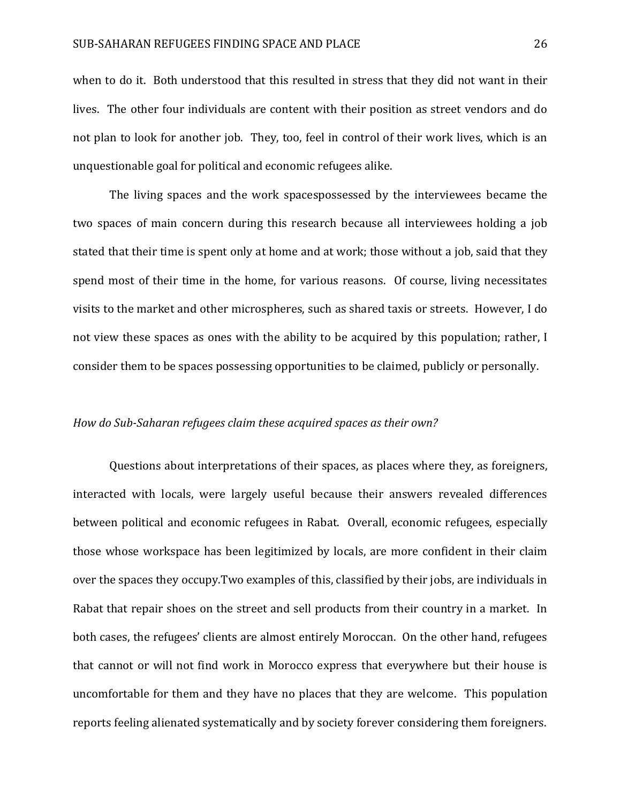when to do it. Both understood that this resulted in stress that they did not want in their lives. The other four individuals are content with their position as street vendors and do not plan to look for another job. They, too, feel in control of their work lives, which is an unquestionable goal for political and economic refugees alike.

The living spaces and the work spacespossessed by the interviewees became the two spaces of main concern during this research because all interviewees holding a job stated that their time is spent only at home and at work; those without a job, said that they spend most of their time in the home, for various reasons. Of course, living necessitates visits to the market and other microspheres, such as shared taxis or streets. However, I do not view these spaces as ones with the ability to be acquired by this population; rather, I consider them to be spaces possessing opportunities to be claimed, publicly or personally.

#### *How do Sub-Saharan refugees claim these acquired spaces as their own?*

Questions about interpretations of their spaces, as places where they, as foreigners, interacted with locals, were largely useful because their answers revealed differences between political and economic refugees in Rabat. Overall, economic refugees, especially those whose workspace has been legitimized by locals, are more confident in their claim over the spaces they occupy.Two examples of this, classified by their jobs, are individuals in Rabat that repair shoes on the street and sell products from their country in a market. In both cases, the refugees' clients are almost entirely Moroccan. On the other hand, refugees that cannot or will not find work in Morocco express that everywhere but their house is uncomfortable for them and they have no places that they are welcome. This population reports feeling alienated systematically and by society forever considering them foreigners.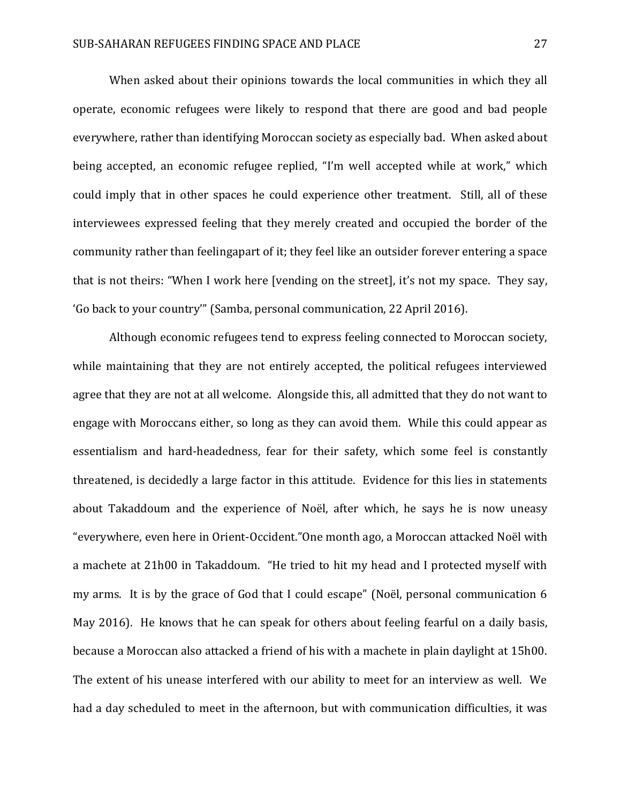When asked about their opinions towards the local communities in which they all operate, economic refugees were likely to respond that there are good and bad people everywhere, rather than identifying Moroccan society as especially bad. When asked about being accepted, an economic refugee replied, "I'm well accepted while at work," which could imply that in other spaces he could experience other treatment. Still, all of these interviewees expressed feeling that they merely created and occupied the border of the community rather than feelingapart of it; they feel like an outsider forever entering a space that is not theirs: "When I work here [vending on the street], it's not my space. They say, 'Go back to your country'" (Samba, personal communication, 22 April 2016).

Although economic refugees tend to express feeling connected to Moroccan society, while maintaining that they are not entirely accepted, the political refugees interviewed agree that they are not at all welcome. Alongside this, all admitted that they do not want to engage with Moroccans either, so long as they can avoid them. While this could appear as essentialism and hard-headedness, fear for their safety, which some feel is constantly threatened, is decidedly a large factor in this attitude. Evidence for this lies in statements about Takaddoum and the experience of Noël, after which, he says he is now uneasy "everywhere, even here in Orient-Occident."One month ago, a Moroccan attacked Noël with a machete at 21h00 in Takaddoum. "He tried to hit my head and I protected myself with my arms. It is by the grace of God that I could escape" (Noël, personal communication 6 May 2016). He knows that he can speak for others about feeling fearful on a daily basis, because a Moroccan also attacked a friend of his with a machete in plain daylight at 15h00. The extent of his unease interfered with our ability to meet for an interview as well. We had a day scheduled to meet in the afternoon, but with communication difficulties, it was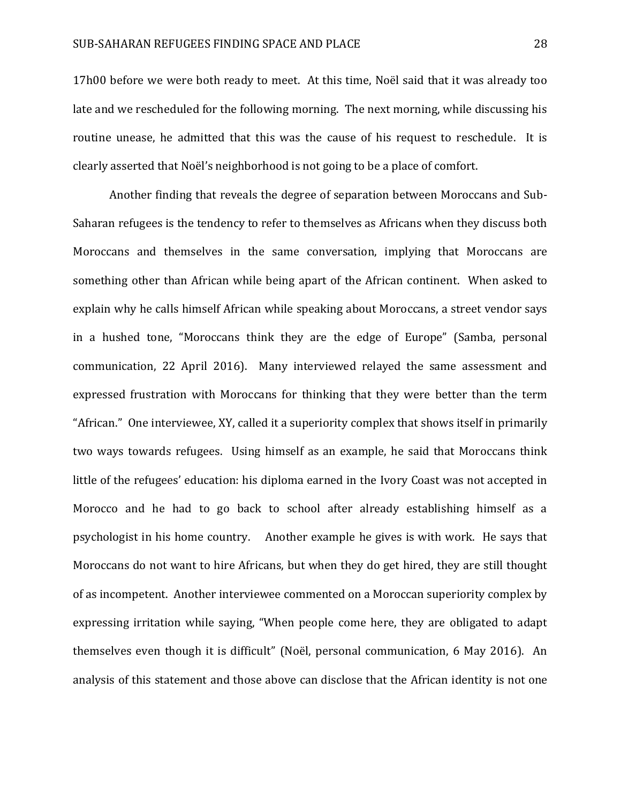17h00 before we were both ready to meet. At this time, Noël said that it was already too late and we rescheduled for the following morning. The next morning, while discussing his routine unease, he admitted that this was the cause of his request to reschedule. It is clearly asserted that Noël's neighborhood is not going to be a place of comfort.

Another finding that reveals the degree of separation between Moroccans and Sub-Saharan refugees is the tendency to refer to themselves as Africans when they discuss both Moroccans and themselves in the same conversation, implying that Moroccans are something other than African while being apart of the African continent. When asked to explain why he calls himself African while speaking about Moroccans, a street vendor says in a hushed tone, "Moroccans think they are the edge of Europe" (Samba, personal communication, 22 April 2016). Many interviewed relayed the same assessment and expressed frustration with Moroccans for thinking that they were better than the term "African." One interviewee, XY, called it a superiority complex that shows itself in primarily two ways towards refugees. Using himself as an example, he said that Moroccans think little of the refugees' education: his diploma earned in the Ivory Coast was not accepted in Morocco and he had to go back to school after already establishing himself as a psychologist in his home country. Another example he gives is with work. He says that Moroccans do not want to hire Africans, but when they do get hired, they are still thought of as incompetent. Another interviewee commented on a Moroccan superiority complex by expressing irritation while saying, "When people come here, they are obligated to adapt themselves even though it is difficult" (Noël, personal communication, 6 May 2016). An analysis of this statement and those above can disclose that the African identity is not one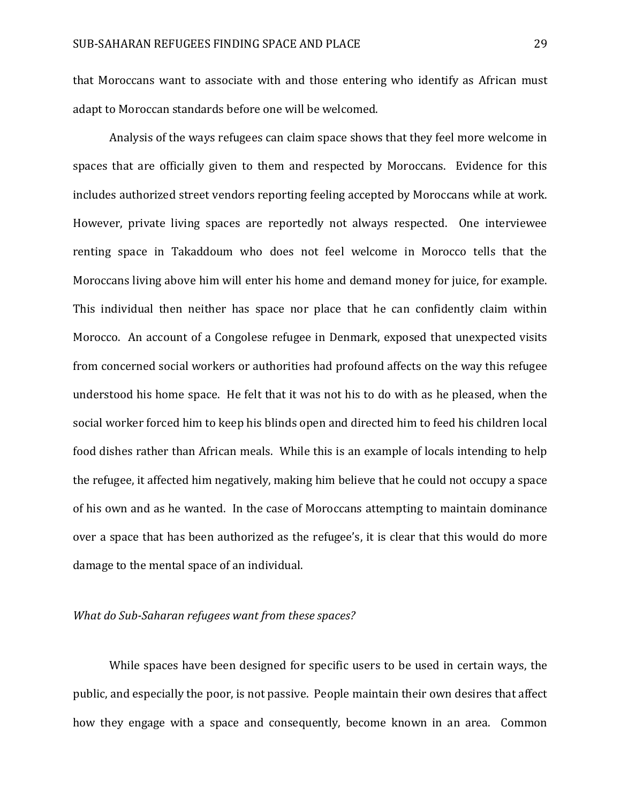that Moroccans want to associate with and those entering who identify as African must adapt to Moroccan standards before one will be welcomed.

Analysis of the ways refugees can claim space shows that they feel more welcome in spaces that are officially given to them and respected by Moroccans. Evidence for this includes authorized street vendors reporting feeling accepted by Moroccans while at work. However, private living spaces are reportedly not always respected. One interviewee renting space in Takaddoum who does not feel welcome in Morocco tells that the Moroccans living above him will enter his home and demand money for juice, for example. This individual then neither has space nor place that he can confidently claim within Morocco. An account of a Congolese refugee in Denmark, exposed that unexpected visits from concerned social workers or authorities had profound affects on the way this refugee understood his home space. He felt that it was not his to do with as he pleased, when the social worker forced him to keep his blinds open and directed him to feed his children local food dishes rather than African meals. While this is an example of locals intending to help the refugee, it affected him negatively, making him believe that he could not occupy a space of his own and as he wanted. In the case of Moroccans attempting to maintain dominance over a space that has been authorized as the refugee's, it is clear that this would do more damage to the mental space of an individual.

## *What do Sub-Saharan refugees want from these spaces?*

While spaces have been designed for specific users to be used in certain ways, the public, and especially the poor, is not passive. People maintain their own desires that affect how they engage with a space and consequently, become known in an area. Common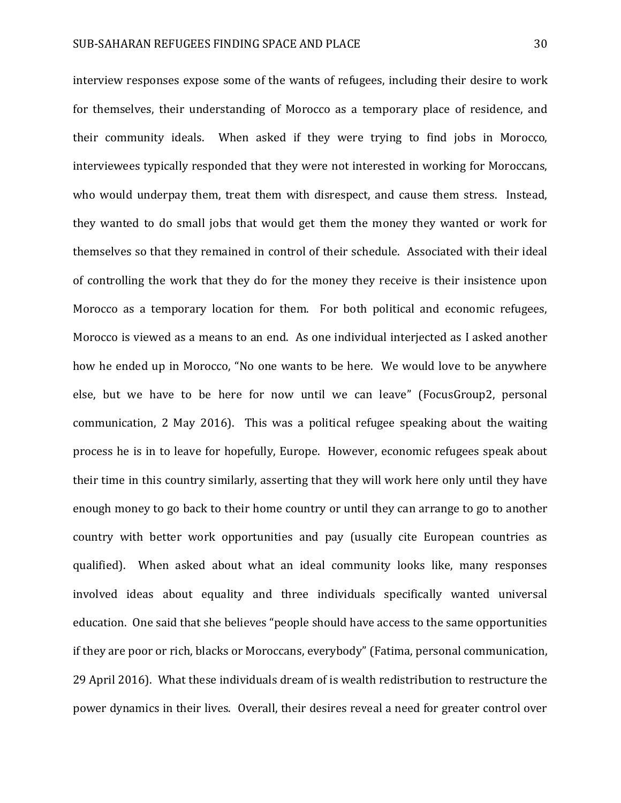interview responses expose some of the wants of refugees, including their desire to work for themselves, their understanding of Morocco as a temporary place of residence, and their community ideals. When asked if they were trying to find jobs in Morocco, interviewees typically responded that they were not interested in working for Moroccans, who would underpay them, treat them with disrespect, and cause them stress. Instead, they wanted to do small jobs that would get them the money they wanted or work for themselves so that they remained in control of their schedule. Associated with their ideal of controlling the work that they do for the money they receive is their insistence upon Morocco as a temporary location for them. For both political and economic refugees, Morocco is viewed as a means to an end. As one individual interjected as I asked another how he ended up in Morocco, "No one wants to be here. We would love to be anywhere else, but we have to be here for now until we can leave" (FocusGroup2, personal communication, 2 May 2016). This was a political refugee speaking about the waiting process he is in to leave for hopefully, Europe. However, economic refugees speak about their time in this country similarly, asserting that they will work here only until they have enough money to go back to their home country or until they can arrange to go to another country with better work opportunities and pay (usually cite European countries as qualified). When asked about what an ideal community looks like, many responses involved ideas about equality and three individuals specifically wanted universal education. One said that she believes "people should have access to the same opportunities if they are poor or rich, blacks or Moroccans, everybody" (Fatima, personal communication, 29 April 2016). What these individuals dream of is wealth redistribution to restructure the power dynamics in their lives. Overall, their desires reveal a need for greater control over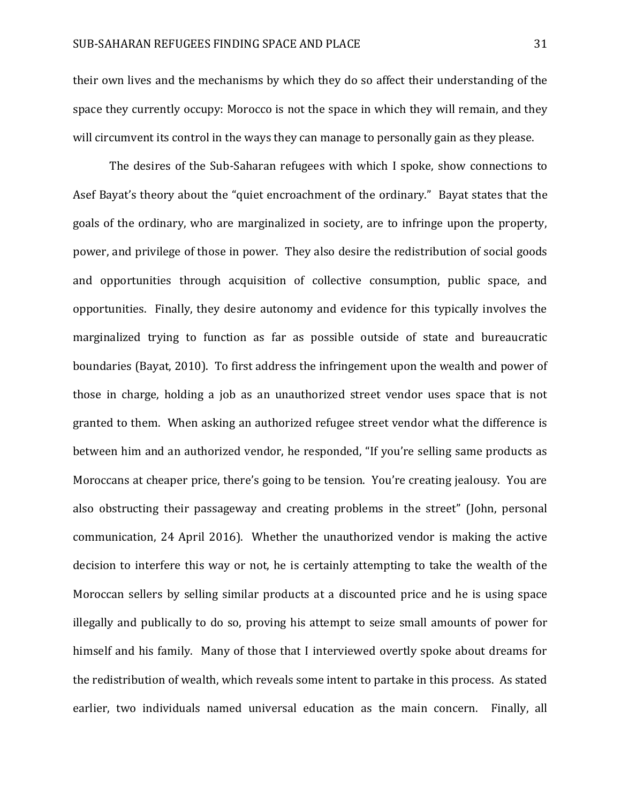their own lives and the mechanisms by which they do so affect their understanding of the space they currently occupy: Morocco is not the space in which they will remain, and they will circumvent its control in the ways they can manage to personally gain as they please.

The desires of the Sub-Saharan refugees with which I spoke, show connections to Asef Bayat's theory about the "quiet encroachment of the ordinary." Bayat states that the goals of the ordinary, who are marginalized in society, are to infringe upon the property, power, and privilege of those in power. They also desire the redistribution of social goods and opportunities through acquisition of collective consumption, public space, and opportunities. Finally, they desire autonomy and evidence for this typically involves the marginalized trying to function as far as possible outside of state and bureaucratic boundaries (Bayat, 2010). To first address the infringement upon the wealth and power of those in charge, holding a job as an unauthorized street vendor uses space that is not granted to them. When asking an authorized refugee street vendor what the difference is between him and an authorized vendor, he responded, "If you're selling same products as Moroccans at cheaper price, there's going to be tension. You're creating jealousy. You are also obstructing their passageway and creating problems in the street" (John, personal communication, 24 April 2016). Whether the unauthorized vendor is making the active decision to interfere this way or not, he is certainly attempting to take the wealth of the Moroccan sellers by selling similar products at a discounted price and he is using space illegally and publically to do so, proving his attempt to seize small amounts of power for himself and his family. Many of those that I interviewed overtly spoke about dreams for the redistribution of wealth, which reveals some intent to partake in this process. As stated earlier, two individuals named universal education as the main concern. Finally, all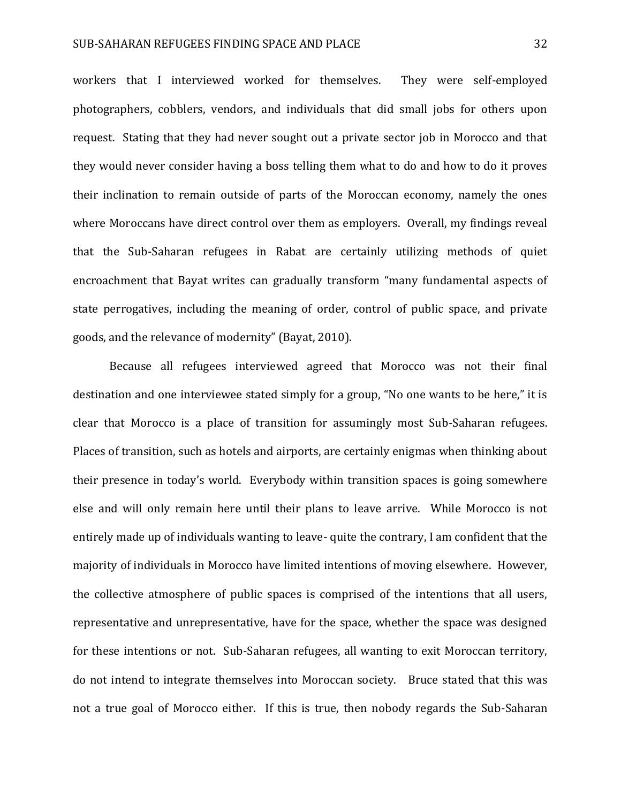workers that I interviewed worked for themselves. They were self-employed photographers, cobblers, vendors, and individuals that did small jobs for others upon request. Stating that they had never sought out a private sector job in Morocco and that they would never consider having a boss telling them what to do and how to do it proves their inclination to remain outside of parts of the Moroccan economy, namely the ones where Moroccans have direct control over them as employers. Overall, my findings reveal that the Sub-Saharan refugees in Rabat are certainly utilizing methods of quiet encroachment that Bayat writes can gradually transform "many fundamental aspects of state perrogatives, including the meaning of order, control of public space, and private goods, and the relevance of modernity" (Bayat, 2010).

Because all refugees interviewed agreed that Morocco was not their final destination and one interviewee stated simply for a group, "No one wants to be here," it is clear that Morocco is a place of transition for assumingly most Sub-Saharan refugees. Places of transition, such as hotels and airports, are certainly enigmas when thinking about their presence in today's world. Everybody within transition spaces is going somewhere else and will only remain here until their plans to leave arrive. While Morocco is not entirely made up of individuals wanting to leave- quite the contrary, I am confident that the majority of individuals in Morocco have limited intentions of moving elsewhere. However, the collective atmosphere of public spaces is comprised of the intentions that all users, representative and unrepresentative, have for the space, whether the space was designed for these intentions or not. Sub-Saharan refugees, all wanting to exit Moroccan territory, do not intend to integrate themselves into Moroccan society. Bruce stated that this was not a true goal of Morocco either. If this is true, then nobody regards the Sub-Saharan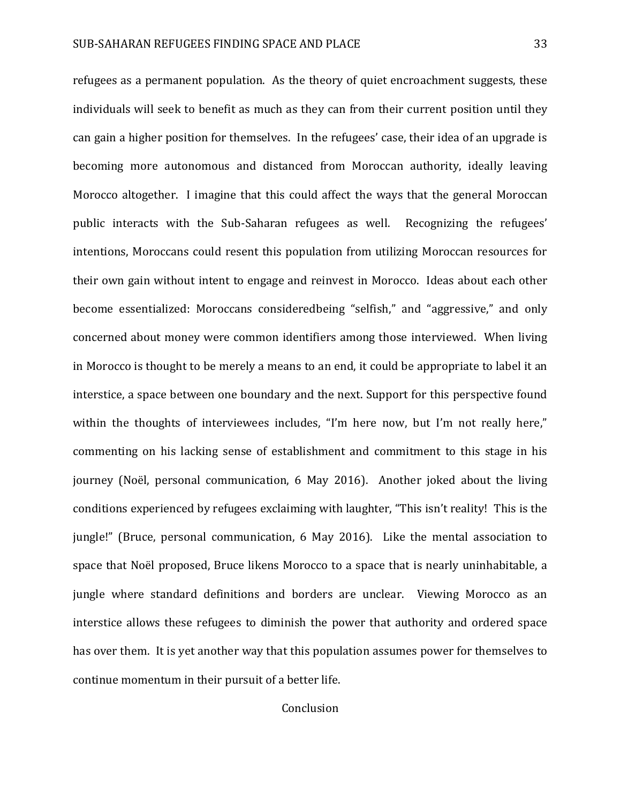refugees as a permanent population. As the theory of quiet encroachment suggests, these individuals will seek to benefit as much as they can from their current position until they can gain a higher position for themselves. In the refugees' case, their idea of an upgrade is becoming more autonomous and distanced from Moroccan authority, ideally leaving Morocco altogether. I imagine that this could affect the ways that the general Moroccan public interacts with the Sub-Saharan refugees as well. Recognizing the refugees' intentions, Moroccans could resent this population from utilizing Moroccan resources for their own gain without intent to engage and reinvest in Morocco. Ideas about each other become essentialized: Moroccans consideredbeing "selfish," and "aggressive," and only concerned about money were common identifiers among those interviewed. When living in Morocco is thought to be merely a means to an end, it could be appropriate to label it an interstice, a space between one boundary and the next. Support for this perspective found within the thoughts of interviewees includes, "I'm here now, but I'm not really here," commenting on his lacking sense of establishment and commitment to this stage in his journey (Noël, personal communication, 6 May 2016). Another joked about the living conditions experienced by refugees exclaiming with laughter, "This isn't reality! This is the jungle!" (Bruce, personal communication, 6 May 2016). Like the mental association to space that Noël proposed, Bruce likens Morocco to a space that is nearly uninhabitable, a jungle where standard definitions and borders are unclear. Viewing Morocco as an interstice allows these refugees to diminish the power that authority and ordered space has over them. It is yet another way that this population assumes power for themselves to continue momentum in their pursuit of a better life.

## Conclusion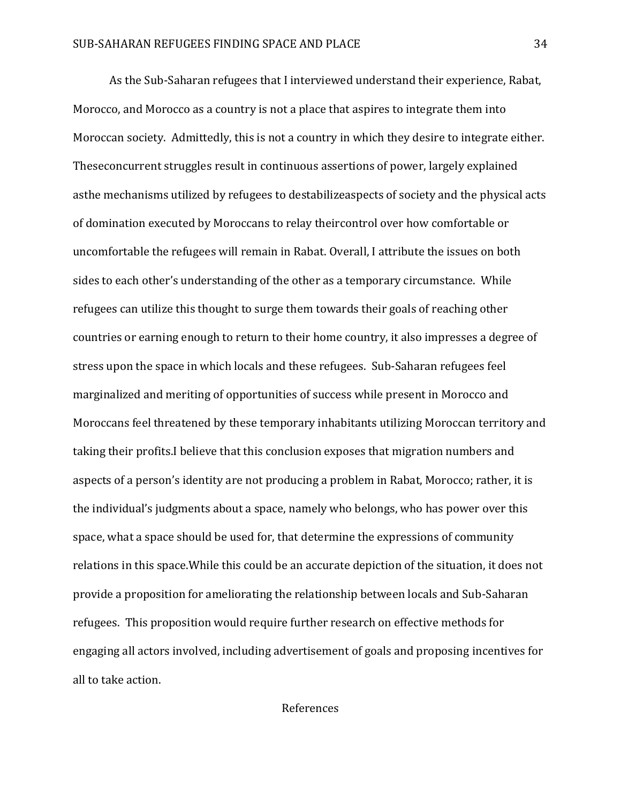As the Sub-Saharan refugees that I interviewed understand their experience, Rabat, Morocco, and Morocco as a country is not a place that aspires to integrate them into Moroccan society. Admittedly, this is not a country in which they desire to integrate either. Theseconcurrent struggles result in continuous assertions of power, largely explained asthe mechanisms utilized by refugees to destabilizeaspects of society and the physical acts of domination executed by Moroccans to relay theircontrol over how comfortable or uncomfortable the refugees will remain in Rabat. Overall, I attribute the issues on both sides to each other's understanding of the other as a temporary circumstance. While refugees can utilize this thought to surge them towards their goals of reaching other countries or earning enough to return to their home country, it also impresses a degree of stress upon the space in which locals and these refugees. Sub-Saharan refugees feel marginalized and meriting of opportunities of success while present in Morocco and Moroccans feel threatened by these temporary inhabitants utilizing Moroccan territory and taking their profits.I believe that this conclusion exposes that migration numbers and aspects of a person's identity are not producing a problem in Rabat, Morocco; rather, it is the individual's judgments about a space, namely who belongs, who has power over this space, what a space should be used for, that determine the expressions of community relations in this space.While this could be an accurate depiction of the situation, it does not provide a proposition for ameliorating the relationship between locals and Sub-Saharan refugees. This proposition would require further research on effective methods for engaging all actors involved, including advertisement of goals and proposing incentives for all to take action.

## References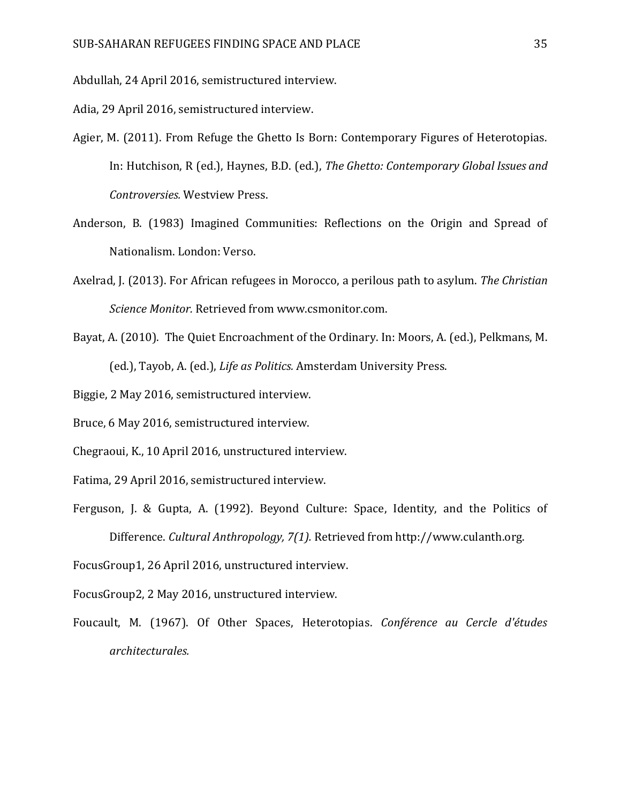Abdullah, 24 April 2016, semistructured interview.

Adia, 29 April 2016, semistructured interview.

- Agier, M. (2011). From Refuge the Ghetto Is Born: Contemporary Figures of Heterotopias. In: Hutchison, R (ed.), Haynes, B.D. (ed.), *The Ghetto: Contemporary Global Issues and Controversies.* Westview Press.
- Anderson, B. (1983) Imagined Communities: Reflections on the Origin and Spread of Nationalism. London: Verso.
- Axelrad, J. (2013). For African refugees in Morocco, a perilous path to asylum. *The Christian Science Monitor.* Retrieved from www.csmonitor.com.
- Bayat, A. (2010). The Quiet Encroachment of the Ordinary. In: Moors, A. (ed.), Pelkmans, M. (ed.), Tayob, A. (ed.), *Life as Politics.* Amsterdam University Press.

Biggie, 2 May 2016, semistructured interview.

Bruce, 6 May 2016, semistructured interview.

Chegraoui, K., 10 April 2016, unstructured interview.

- Fatima, 29 April 2016, semistructured interview.
- Ferguson, J. & Gupta, A. (1992). Beyond Culture: Space, Identity, and the Politics of Difference. *Cultural Anthropology, 7(1).* Retrieved from http://www.culanth.org.

FocusGroup1, 26 April 2016, unstructured interview.

FocusGroup2, 2 May 2016, unstructured interview.

Foucault, M. (1967). Of Other Spaces, Heterotopias. *Conférence au Cercle d'études architecturales.*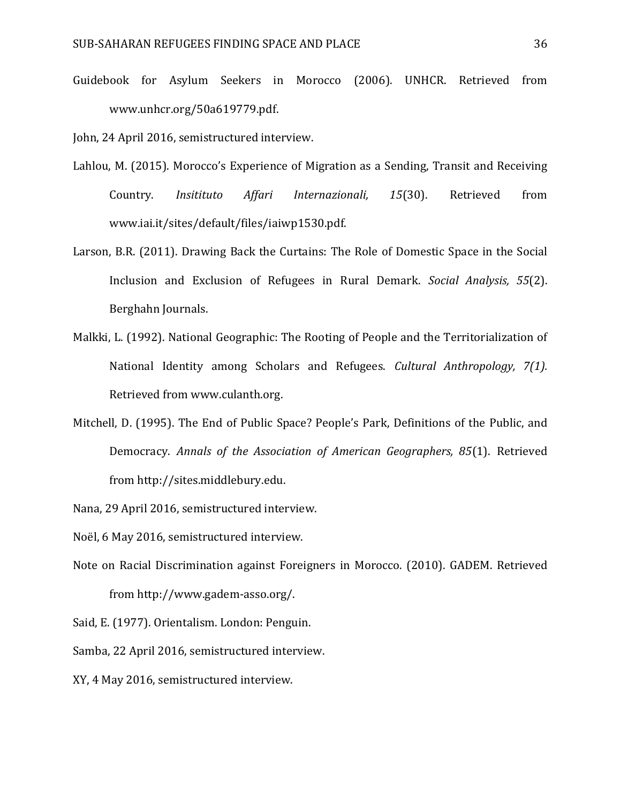Guidebook for Asylum Seekers in Morocco (2006). UNHCR. Retrieved from www.unhcr.org/50a619779.pdf.

John, 24 April 2016, semistructured interview.

- Lahlou, M. (2015). Morocco's Experience of Migration as a Sending, Transit and Receiving Country. *Insitituto Affari Internazionali, 15*(30). Retrieved from www.iai.it/sites/default/files/iaiwp1530.pdf.
- Larson, B.R. (2011). Drawing Back the Curtains: The Role of Domestic Space in the Social Inclusion and Exclusion of Refugees in Rural Demark. *Social Analysis, 55*(2). Berghahn Journals.
- Malkki, L. (1992). National Geographic: The Rooting of People and the Territorialization of National Identity among Scholars and Refugees. *Cultural Anthropology, 7(1).* Retrieved from www.culanth.org.
- Mitchell, D. (1995). The End of Public Space? People's Park, Definitions of the Public, and Democracy. *Annals of the Association of American Geographers, 85*(1). Retrieved from http://sites.middlebury.edu.

Nana, 29 April 2016, semistructured interview.

Noël, 6 May 2016, semistructured interview.

Note on Racial Discrimination against Foreigners in Morocco. (2010). GADEM. Retrieved from http://www.gadem-asso.org/.

Said, E. (1977). Orientalism. London: Penguin.

Samba, 22 April 2016, semistructured interview.

XY, 4 May 2016, semistructured interview.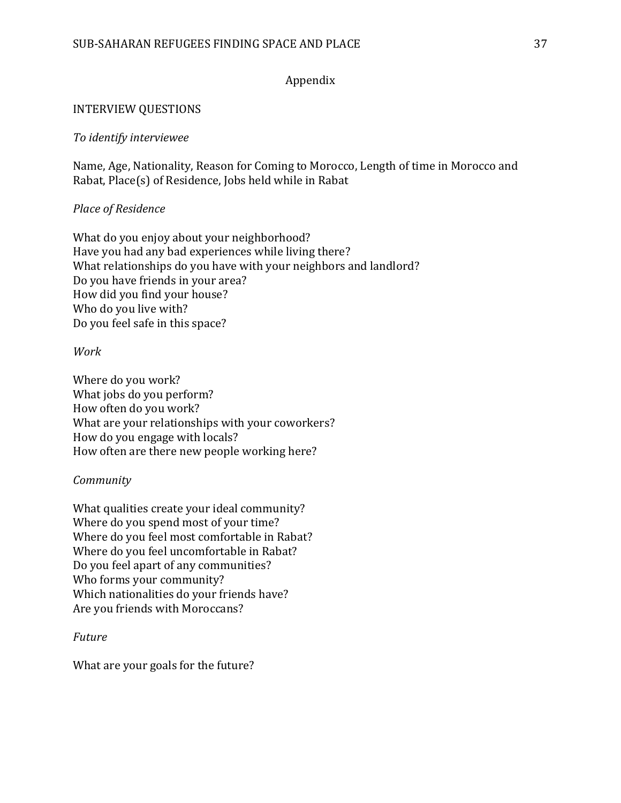## Appendix

## INTERVIEW QUESTIONS

## *To identify interviewee*

Name, Age, Nationality, Reason for Coming to Morocco, Length of time in Morocco and Rabat, Place(s) of Residence, Jobs held while in Rabat

## *Place of Residence*

What do you enjoy about your neighborhood? Have you had any bad experiences while living there? What relationships do you have with your neighbors and landlord? Do you have friends in your area? How did you find your house? Who do you live with? Do you feel safe in this space?

## *Work*

Where do you work? What jobs do you perform? How often do you work? What are your relationships with your coworkers? How do you engage with locals? How often are there new people working here?

## *Community*

What qualities create your ideal community? Where do you spend most of your time? Where do you feel most comfortable in Rabat? Where do you feel uncomfortable in Rabat? Do you feel apart of any communities? Who forms your community? Which nationalities do your friends have? Are you friends with Moroccans?

## *Future*

What are your goals for the future?